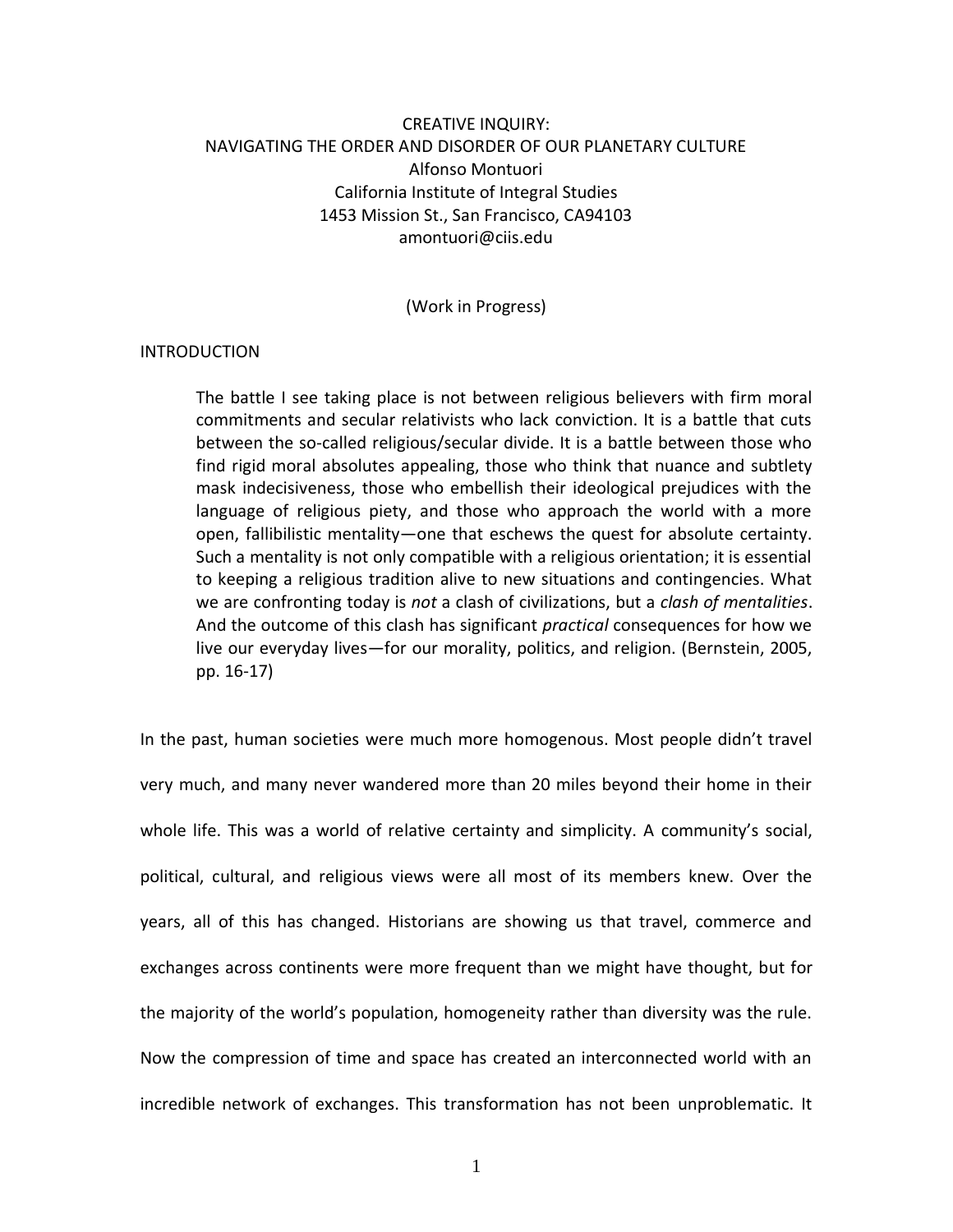# CREATIVE INQUIRY: NAVIGATING THE ORDER AND DISORDER OF OUR PLANETARY CULTURE Alfonso Montuori California Institute of Integral Studies 1453 Mission St., San Francisco, CA94103 amontuori@ciis.edu

(Work in Progress)

## INTRODUCTION

The battle I see taking place is not between religious believers with firm moral commitments and secular relativists who lack conviction. It is a battle that cuts between the so-called religious/secular divide. It is a battle between those who find rigid moral absolutes appealing, those who think that nuance and subtlety mask indecisiveness, those who embellish their ideological prejudices with the language of religious piety, and those who approach the world with a more open, fallibilistic mentality—one that eschews the quest for absolute certainty. Such a mentality is not only compatible with a religious orientation; it is essential to keeping a religious tradition alive to new situations and contingencies. What we are confronting today is *not* a clash of civilizations, but a *clash of mentalities*. And the outcome of this clash has significant *practical* consequences for how we live our everyday lives—for our morality, politics, and religion. (Bernstein, 2005, pp. 16-17)

In the past, human societies were much more homogenous. Most people didn't travel very much, and many never wandered more than 20 miles beyond their home in their whole life. This was a world of relative certainty and simplicity. A community's social, political, cultural, and religious views were all most of its members knew. Over the years, all of this has changed. Historians are showing us that travel, commerce and exchanges across continents were more frequent than we might have thought, but for the majority of the world's population, homogeneity rather than diversity was the rule. Now the compression of time and space has created an interconnected world with an incredible network of exchanges. This transformation has not been unproblematic. It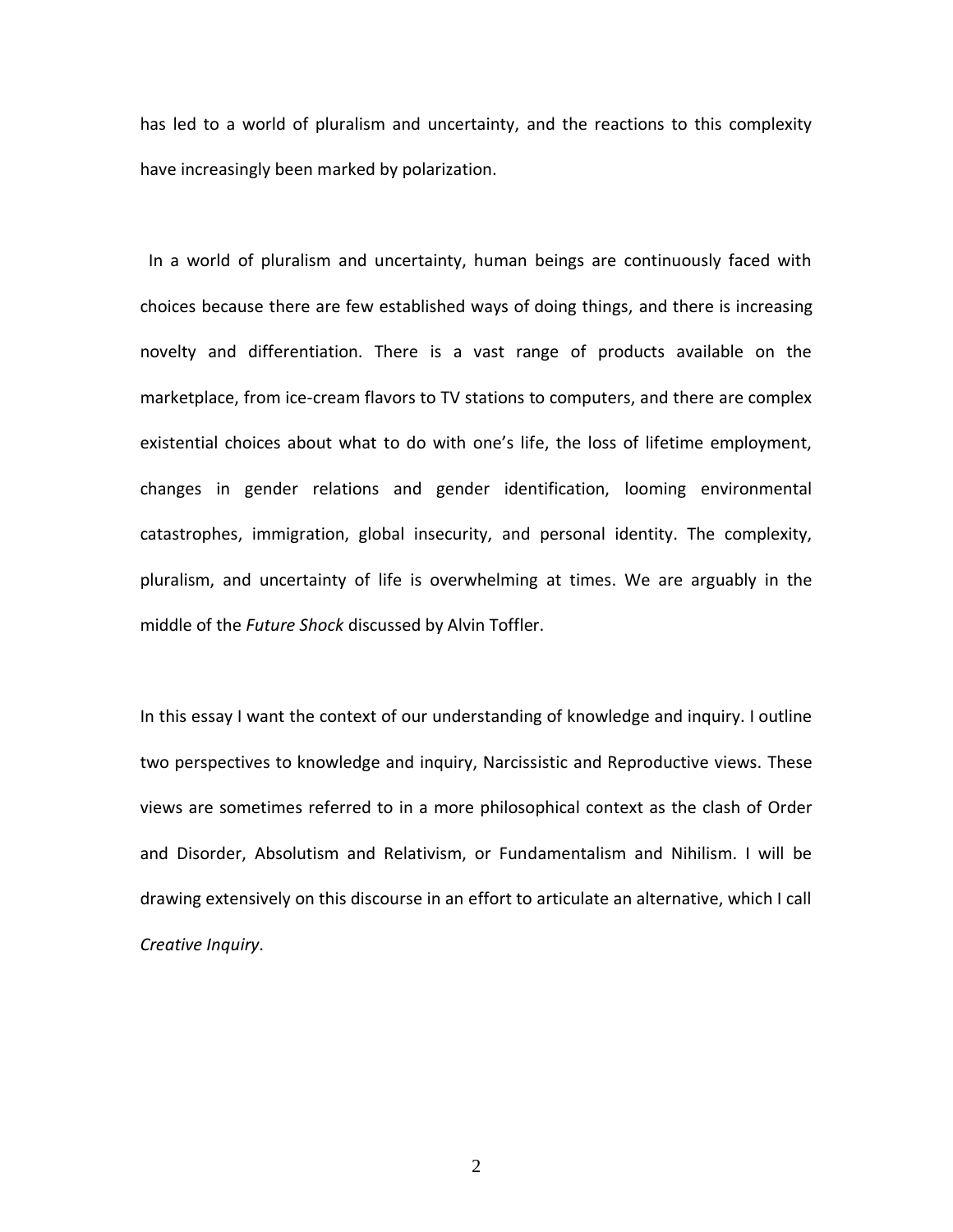has led to a world of pluralism and uncertainty, and the reactions to this complexity have increasingly been marked by polarization.

 In a world of pluralism and uncertainty, human beings are continuously faced with choices because there are few established ways of doing things, and there is increasing novelty and differentiation. There is a vast range of products available on the marketplace, from ice-cream flavors to TV stations to computers, and there are complex existential choices about what to do with one's life, the loss of lifetime employment, changes in gender relations and gender identification, looming environmental catastrophes, immigration, global insecurity, and personal identity. The complexity, pluralism, and uncertainty of life is overwhelming at times. We are arguably in the middle of the *Future Shock* discussed by Alvin Toffler.

In this essay I want the context of our understanding of knowledge and inquiry. I outline two perspectives to knowledge and inquiry, Narcissistic and Reproductive views. These views are sometimes referred to in a more philosophical context as the clash of Order and Disorder, Absolutism and Relativism, or Fundamentalism and Nihilism. I will be drawing extensively on this discourse in an effort to articulate an alternative, which I call *Creative Inquiry*.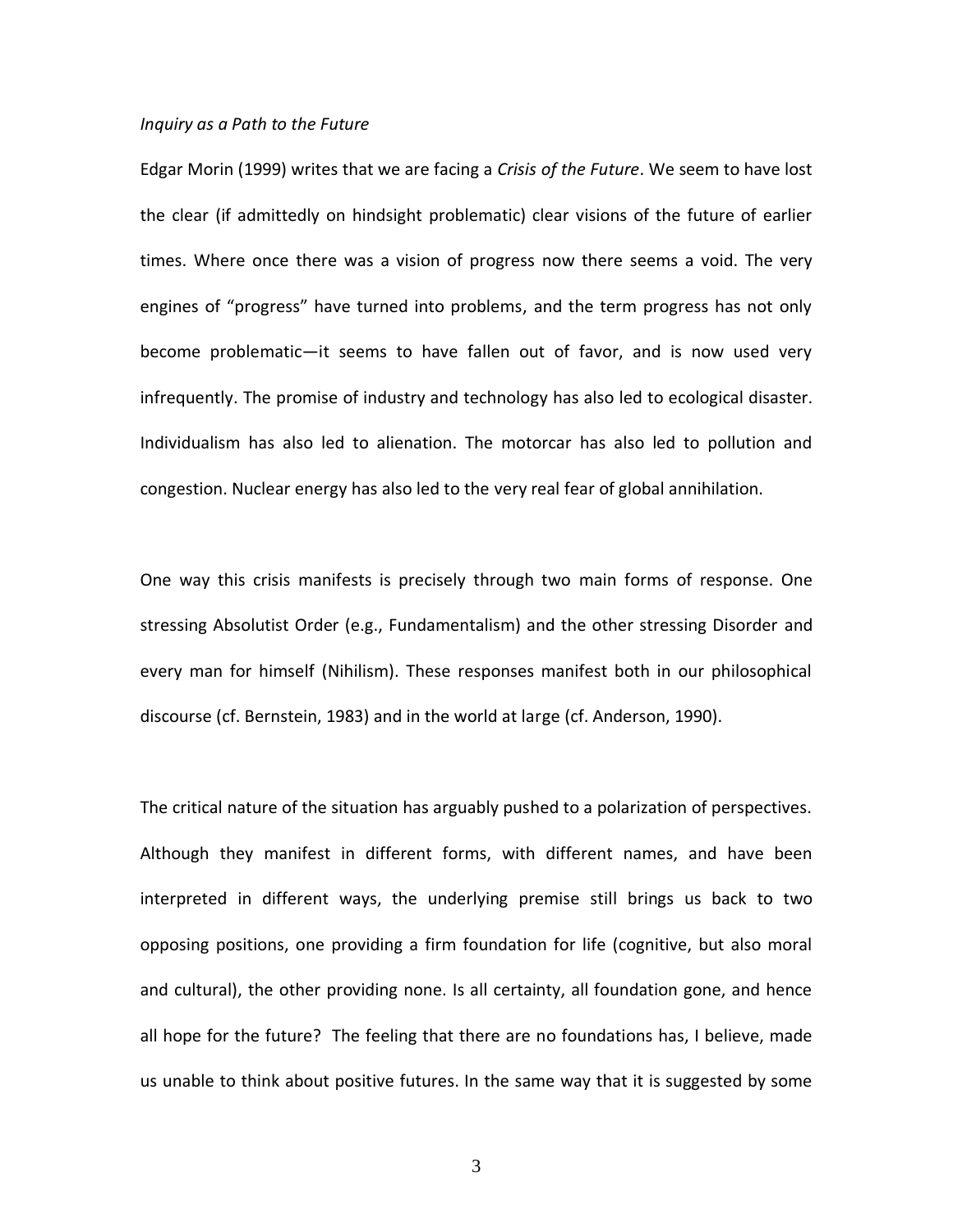#### *Inquiry as a Path to the Future*

Edgar Morin (1999) writes that we are facing a *Crisis of the Future*. We seem to have lost the clear (if admittedly on hindsight problematic) clear visions of the future of earlier times. Where once there was a vision of progress now there seems a void. The very engines of "progress" have turned into problems, and the term progress has not only become problematic—it seems to have fallen out of favor, and is now used very infrequently. The promise of industry and technology has also led to ecological disaster. Individualism has also led to alienation. The motorcar has also led to pollution and congestion. Nuclear energy has also led to the very real fear of global annihilation.

One way this crisis manifests is precisely through two main forms of response. One stressing Absolutist Order (e.g., Fundamentalism) and the other stressing Disorder and every man for himself (Nihilism). These responses manifest both in our philosophical discourse (cf. Bernstein, 1983) and in the world at large (cf. Anderson, 1990).

The critical nature of the situation has arguably pushed to a polarization of perspectives. Although they manifest in different forms, with different names, and have been interpreted in different ways, the underlying premise still brings us back to two opposing positions, one providing a firm foundation for life (cognitive, but also moral and cultural), the other providing none. Is all certainty, all foundation gone, and hence all hope for the future? The feeling that there are no foundations has, I believe, made us unable to think about positive futures. In the same way that it is suggested by some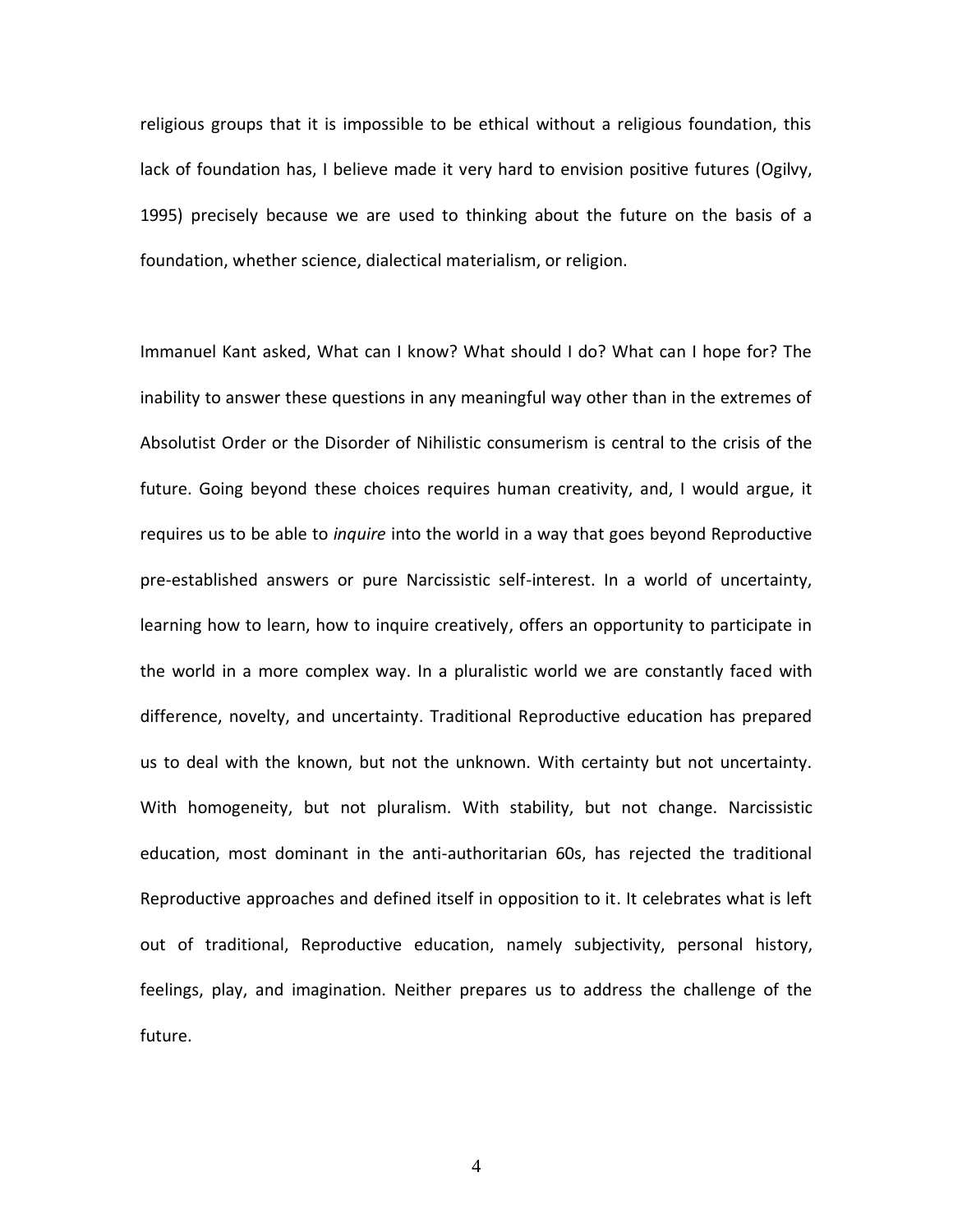religious groups that it is impossible to be ethical without a religious foundation, this lack of foundation has, I believe made it very hard to envision positive futures (Ogilvy, 1995) precisely because we are used to thinking about the future on the basis of a foundation, whether science, dialectical materialism, or religion.

Immanuel Kant asked, What can I know? What should I do? What can I hope for? The inability to answer these questions in any meaningful way other than in the extremes of Absolutist Order or the Disorder of Nihilistic consumerism is central to the crisis of the future. Going beyond these choices requires human creativity, and, I would argue, it requires us to be able to *inquire* into the world in a way that goes beyond Reproductive pre-established answers or pure Narcissistic self-interest. In a world of uncertainty, learning how to learn, how to inquire creatively, offers an opportunity to participate in the world in a more complex way. In a pluralistic world we are constantly faced with difference, novelty, and uncertainty. Traditional Reproductive education has prepared us to deal with the known, but not the unknown. With certainty but not uncertainty. With homogeneity, but not pluralism. With stability, but not change. Narcissistic education, most dominant in the anti-authoritarian 60s, has rejected the traditional Reproductive approaches and defined itself in opposition to it. It celebrates what is left out of traditional, Reproductive education, namely subjectivity, personal history, feelings, play, and imagination. Neither prepares us to address the challenge of the future.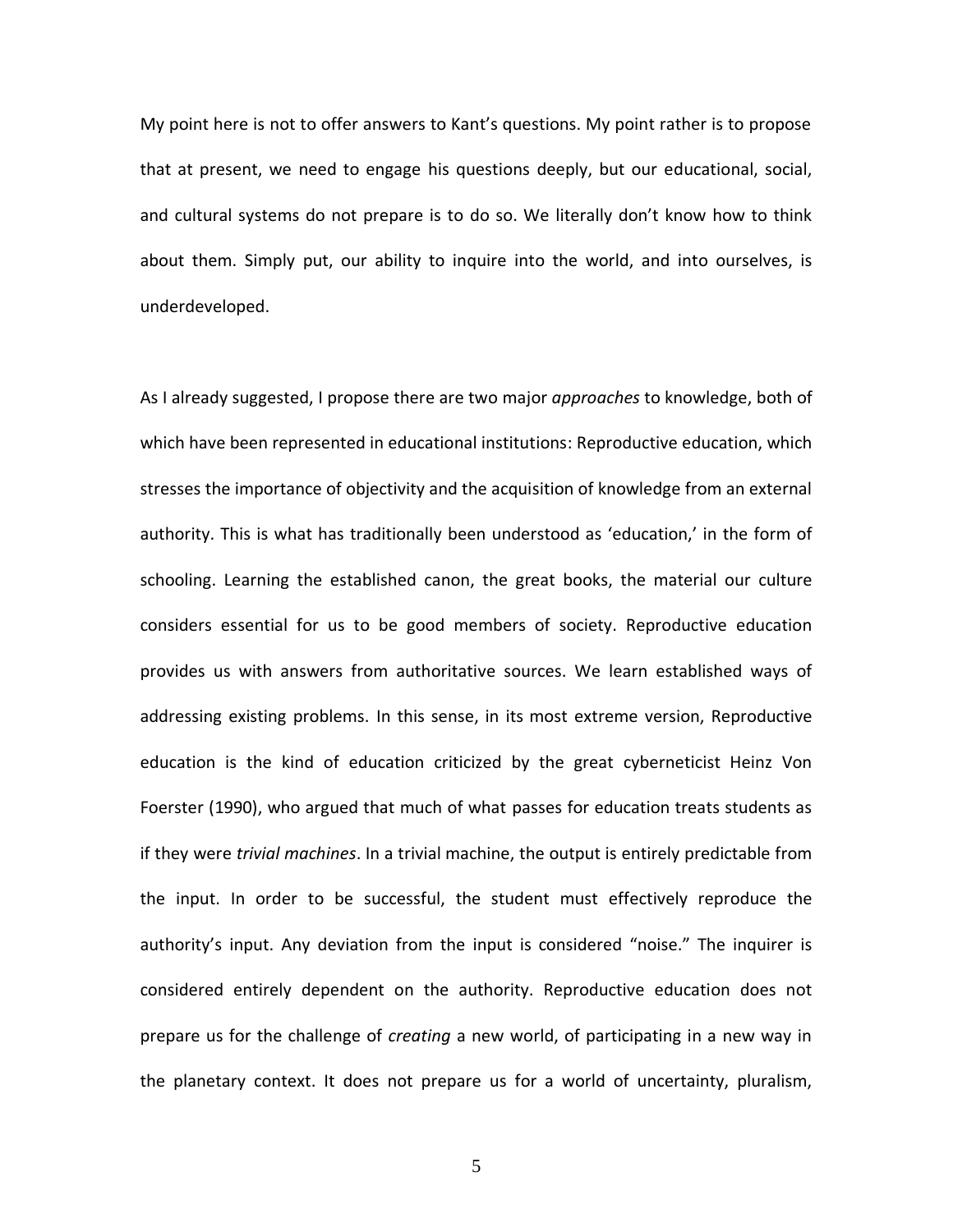My point here is not to offer answers to Kant's questions. My point rather is to propose that at present, we need to engage his questions deeply, but our educational, social, and cultural systems do not prepare is to do so. We literally don't know how to think about them. Simply put, our ability to inquire into the world, and into ourselves, is underdeveloped.

As I already suggested, I propose there are two major *approaches* to knowledge, both of which have been represented in educational institutions: Reproductive education, which stresses the importance of objectivity and the acquisition of knowledge from an external authority. This is what has traditionally been understood as 'education,' in the form of schooling. Learning the established canon, the great books, the material our culture considers essential for us to be good members of society. Reproductive education provides us with answers from authoritative sources. We learn established ways of addressing existing problems. In this sense, in its most extreme version, Reproductive education is the kind of education criticized by the great cyberneticist Heinz Von Foerster (1990), who argued that much of what passes for education treats students as if they were *trivial machines*. In a trivial machine, the output is entirely predictable from the input. In order to be successful, the student must effectively reproduce the authority's input. Any deviation from the input is considered "noise." The inquirer is considered entirely dependent on the authority. Reproductive education does not prepare us for the challenge of *creating* a new world, of participating in a new way in the planetary context. It does not prepare us for a world of uncertainty, pluralism,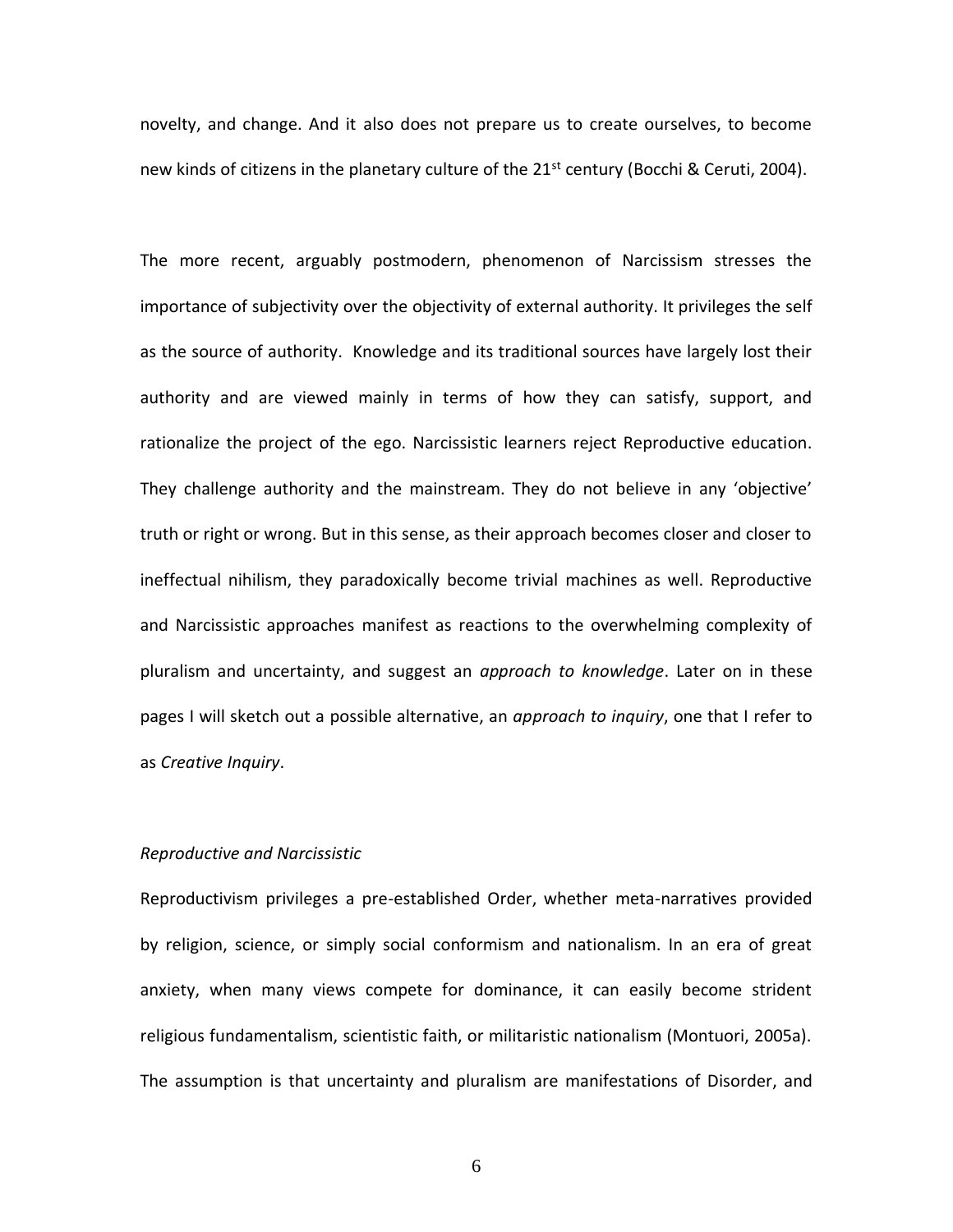novelty, and change. And it also does not prepare us to create ourselves, to become new kinds of citizens in the planetary culture of the  $21<sup>st</sup>$  century (Bocchi & Ceruti, 2004).

The more recent, arguably postmodern, phenomenon of Narcissism stresses the importance of subjectivity over the objectivity of external authority. It privileges the self as the source of authority. Knowledge and its traditional sources have largely lost their authority and are viewed mainly in terms of how they can satisfy, support, and rationalize the project of the ego. Narcissistic learners reject Reproductive education. They challenge authority and the mainstream. They do not believe in any 'objective' truth or right or wrong. But in this sense, as their approach becomes closer and closer to ineffectual nihilism, they paradoxically become trivial machines as well. Reproductive and Narcissistic approaches manifest as reactions to the overwhelming complexity of pluralism and uncertainty, and suggest an *approach to knowledge*. Later on in these pages I will sketch out a possible alternative, an *approach to inquiry*, one that I refer to as *Creative Inquiry*.

### *Reproductive and Narcissistic*

Reproductivism privileges a pre-established Order, whether meta-narratives provided by religion, science, or simply social conformism and nationalism. In an era of great anxiety, when many views compete for dominance, it can easily become strident religious fundamentalism, scientistic faith, or militaristic nationalism (Montuori, 2005a). The assumption is that uncertainty and pluralism are manifestations of Disorder, and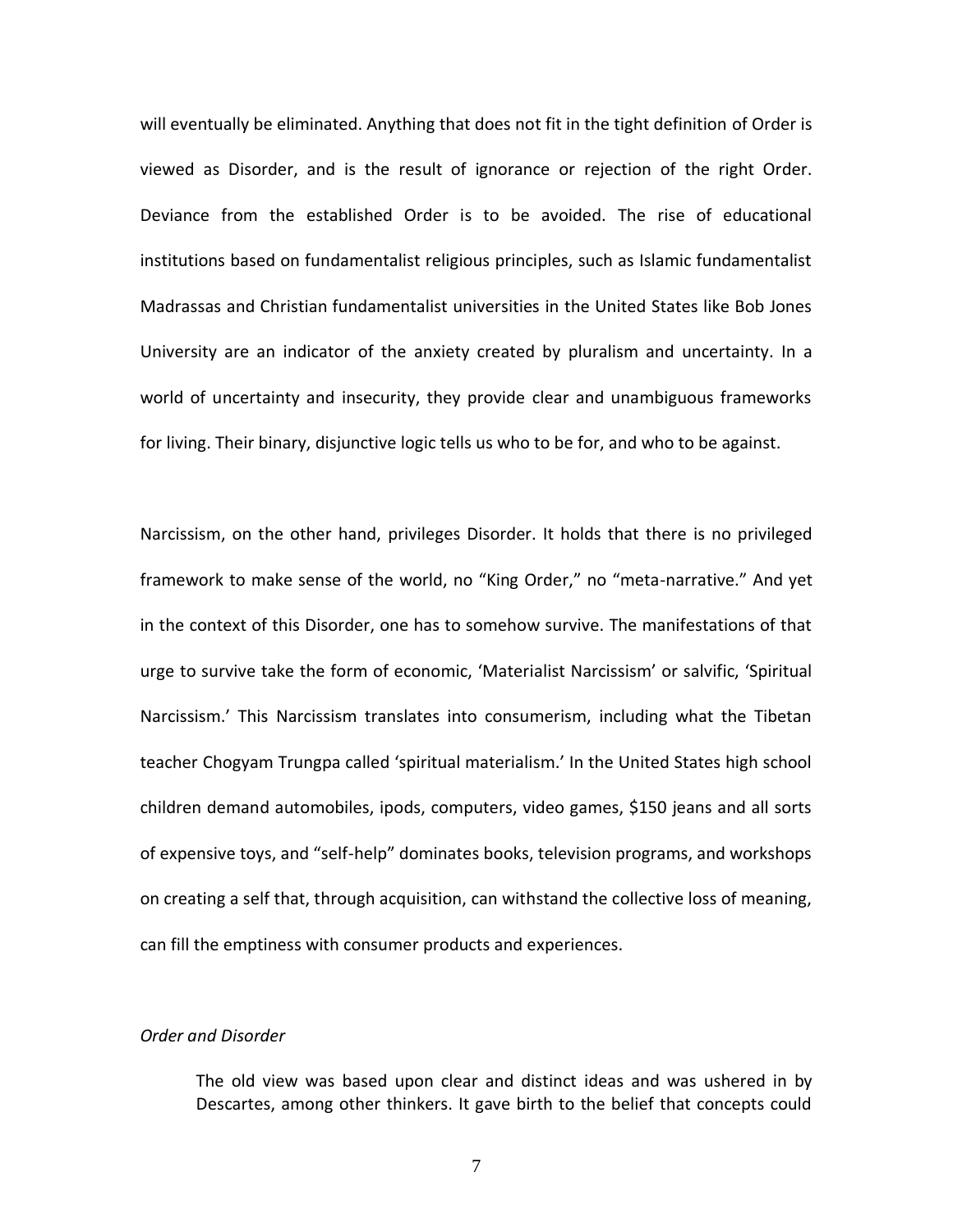will eventually be eliminated. Anything that does not fit in the tight definition of Order is viewed as Disorder, and is the result of ignorance or rejection of the right Order. Deviance from the established Order is to be avoided. The rise of educational institutions based on fundamentalist religious principles, such as Islamic fundamentalist Madrassas and Christian fundamentalist universities in the United States like Bob Jones University are an indicator of the anxiety created by pluralism and uncertainty. In a world of uncertainty and insecurity, they provide clear and unambiguous frameworks for living. Their binary, disjunctive logic tells us who to be for, and who to be against.

Narcissism, on the other hand, privileges Disorder. It holds that there is no privileged framework to make sense of the world, no "King Order," no "meta-narrative." And yet in the context of this Disorder, one has to somehow survive. The manifestations of that urge to survive take the form of economic, 'Materialist Narcissism' or salvific, 'Spiritual Narcissism.' This Narcissism translates into consumerism, including what the Tibetan teacher Chogyam Trungpa called 'spiritual materialism.' In the United States high school children demand automobiles, ipods, computers, video games, \$150 jeans and all sorts of expensive toys, and "self-help" dominates books, television programs, and workshops on creating a self that, through acquisition, can withstand the collective loss of meaning, can fill the emptiness with consumer products and experiences.

# *Order and Disorder*

The old view was based upon clear and distinct ideas and was ushered in by Descartes, among other thinkers. It gave birth to the belief that concepts could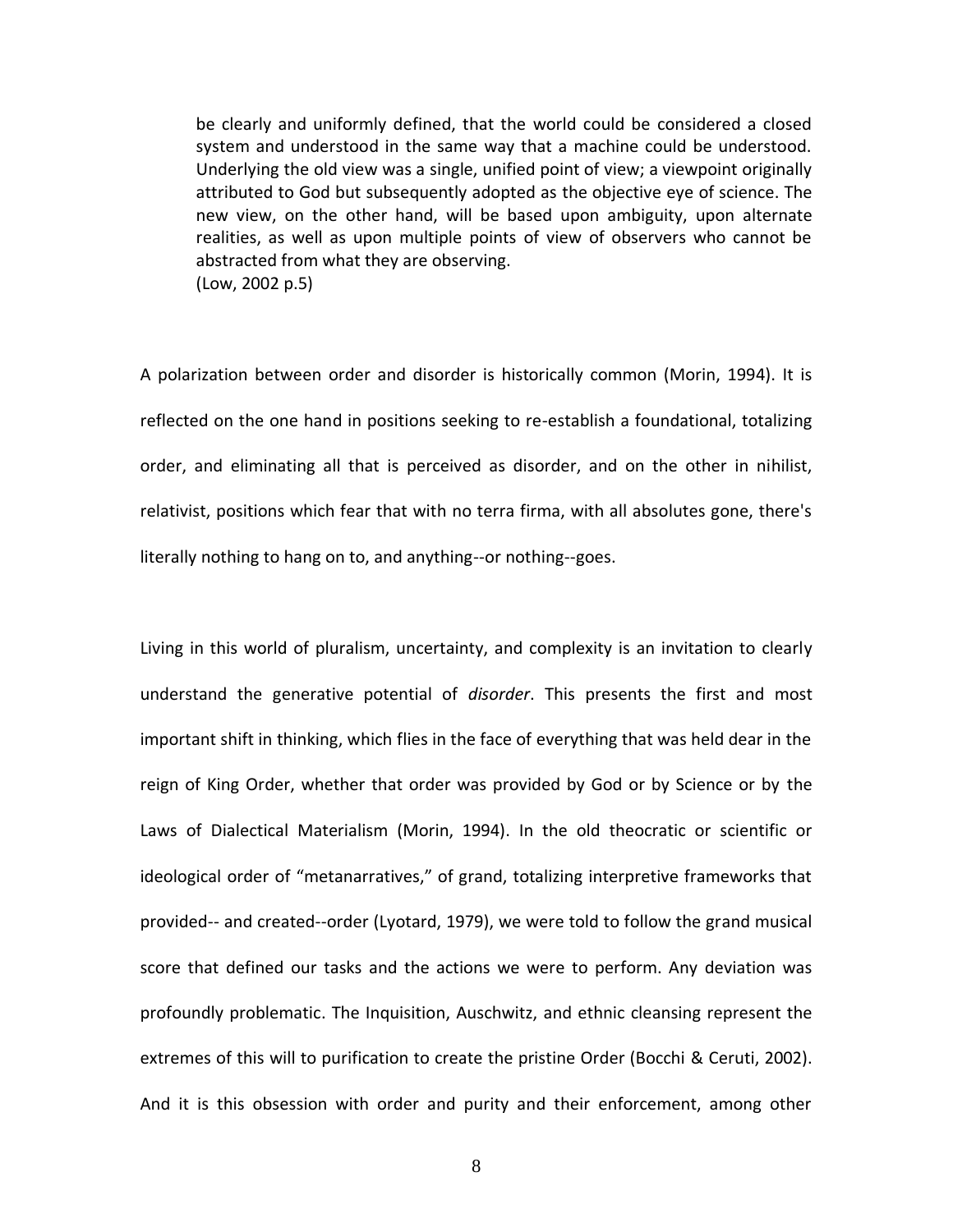be clearly and uniformly defined, that the world could be considered a closed system and understood in the same way that a machine could be understood. Underlying the old view was a single, unified point of view; a viewpoint originally attributed to God but subsequently adopted as the objective eye of science. The new view, on the other hand, will be based upon ambiguity, upon alternate realities, as well as upon multiple points of view of observers who cannot be abstracted from what they are observing. (Low, 2002 p.5)

A polarization between order and disorder is historically common (Morin, 1994). It is reflected on the one hand in positions seeking to re-establish a foundational, totalizing order, and eliminating all that is perceived as disorder, and on the other in nihilist, relativist, positions which fear that with no terra firma, with all absolutes gone, there's literally nothing to hang on to, and anything--or nothing--goes.

Living in this world of pluralism, uncertainty, and complexity is an invitation to clearly understand the generative potential of *disorder*. This presents the first and most important shift in thinking, which flies in the face of everything that was held dear in the reign of King Order, whether that order was provided by God or by Science or by the Laws of Dialectical Materialism (Morin, 1994). In the old theocratic or scientific or ideological order of "metanarratives," of grand, totalizing interpretive frameworks that provided-- and created--order (Lyotard, 1979), we were told to follow the grand musical score that defined our tasks and the actions we were to perform. Any deviation was profoundly problematic. The Inquisition, Auschwitz, and ethnic cleansing represent the extremes of this will to purification to create the pristine Order (Bocchi & Ceruti, 2002). And it is this obsession with order and purity and their enforcement, among other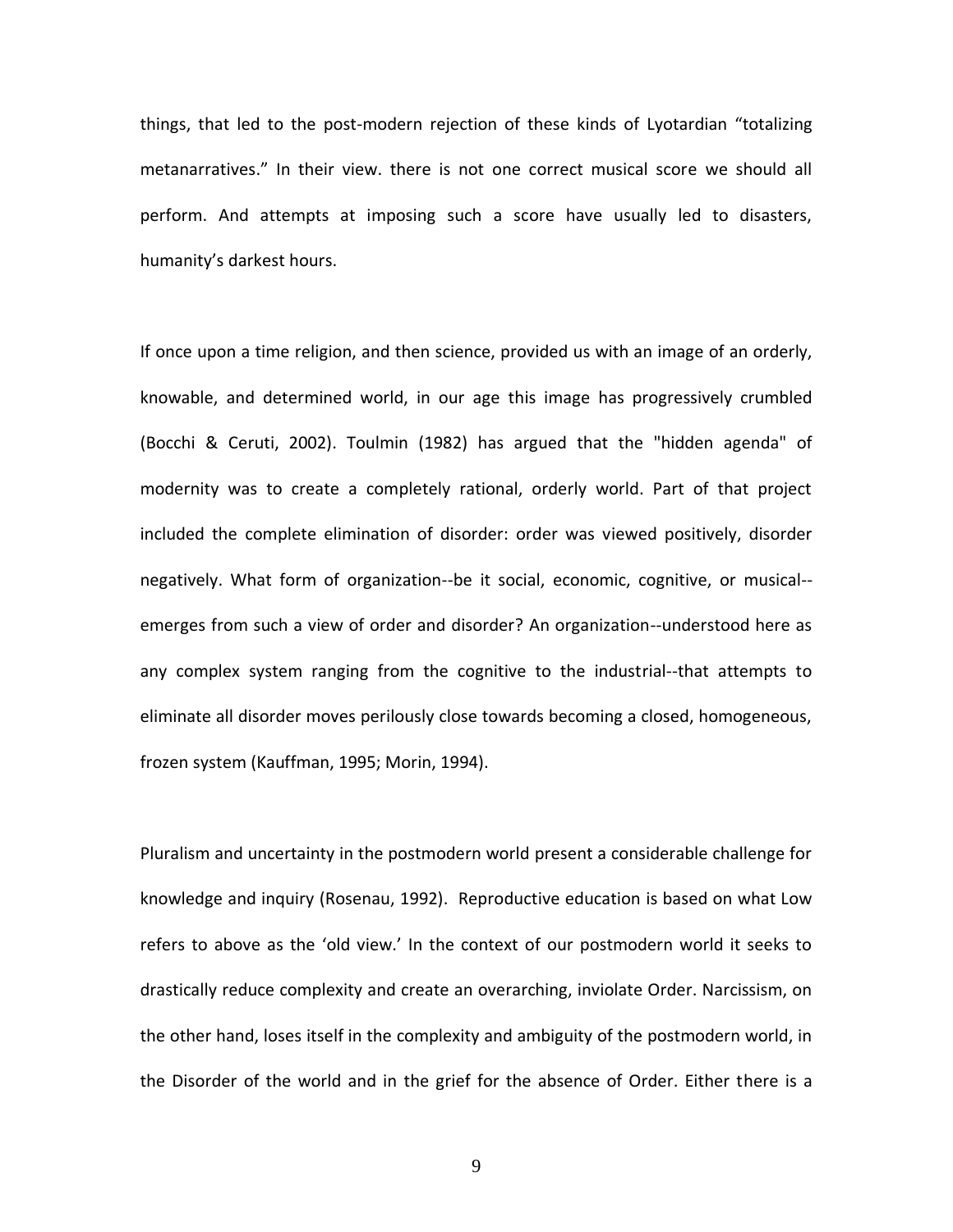things, that led to the post-modern rejection of these kinds of Lyotardian "totalizing metanarratives." In their view. there is not one correct musical score we should all perform. And attempts at imposing such a score have usually led to disasters, humanity's darkest hours.

If once upon a time religion, and then science, provided us with an image of an orderly, knowable, and determined world, in our age this image has progressively crumbled (Bocchi & Ceruti, 2002). Toulmin (1982) has argued that the "hidden agenda" of modernity was to create a completely rational, orderly world. Part of that project included the complete elimination of disorder: order was viewed positively, disorder negatively. What form of organization--be it social, economic, cognitive, or musical- emerges from such a view of order and disorder? An organization--understood here as any complex system ranging from the cognitive to the industrial--that attempts to eliminate all disorder moves perilously close towards becoming a closed, homogeneous, frozen system (Kauffman, 1995; Morin, 1994).

Pluralism and uncertainty in the postmodern world present a considerable challenge for knowledge and inquiry (Rosenau, 1992). Reproductive education is based on what Low refers to above as the 'old view.' In the context of our postmodern world it seeks to drastically reduce complexity and create an overarching, inviolate Order. Narcissism, on the other hand, loses itself in the complexity and ambiguity of the postmodern world, in the Disorder of the world and in the grief for the absence of Order. Either there is a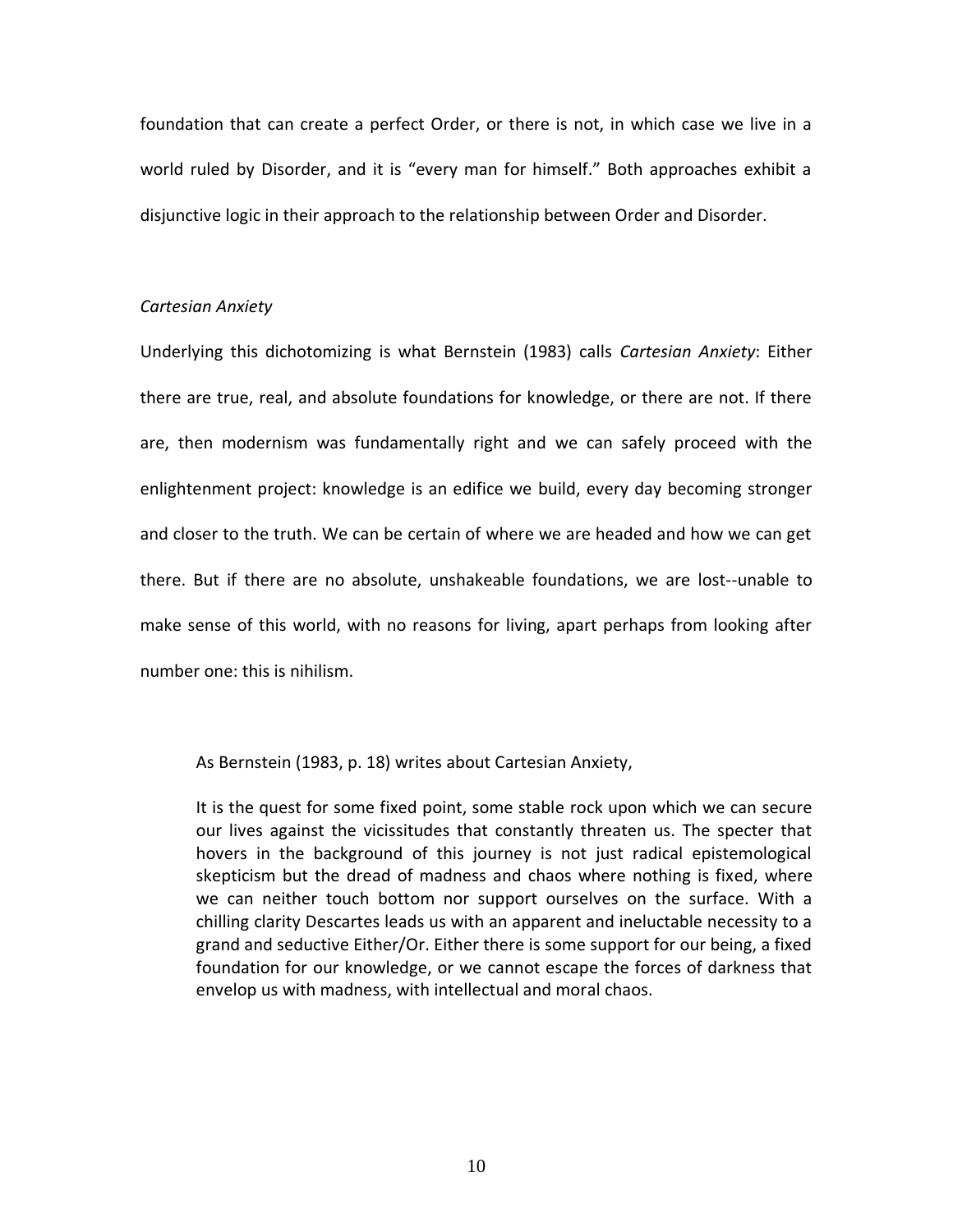foundation that can create a perfect Order, or there is not, in which case we live in a world ruled by Disorder, and it is "every man for himself." Both approaches exhibit a disjunctive logic in their approach to the relationship between Order and Disorder.

### *Cartesian Anxiety*

Underlying this dichotomizing is what Bernstein (1983) calls *Cartesian Anxiety*: Either there are true, real, and absolute foundations for knowledge, or there are not. If there are, then modernism was fundamentally right and we can safely proceed with the enlightenment project: knowledge is an edifice we build, every day becoming stronger and closer to the truth. We can be certain of where we are headed and how we can get there. But if there are no absolute, unshakeable foundations, we are lost--unable to make sense of this world, with no reasons for living, apart perhaps from looking after number one: this is nihilism.

As Bernstein (1983, p. 18) writes about Cartesian Anxiety,

It is the quest for some fixed point, some stable rock upon which we can secure our lives against the vicissitudes that constantly threaten us. The specter that hovers in the background of this journey is not just radical epistemological skepticism but the dread of madness and chaos where nothing is fixed, where we can neither touch bottom nor support ourselves on the surface. With a chilling clarity Descartes leads us with an apparent and ineluctable necessity to a grand and seductive Either/Or. Either there is some support for our being, a fixed foundation for our knowledge, or we cannot escape the forces of darkness that envelop us with madness, with intellectual and moral chaos.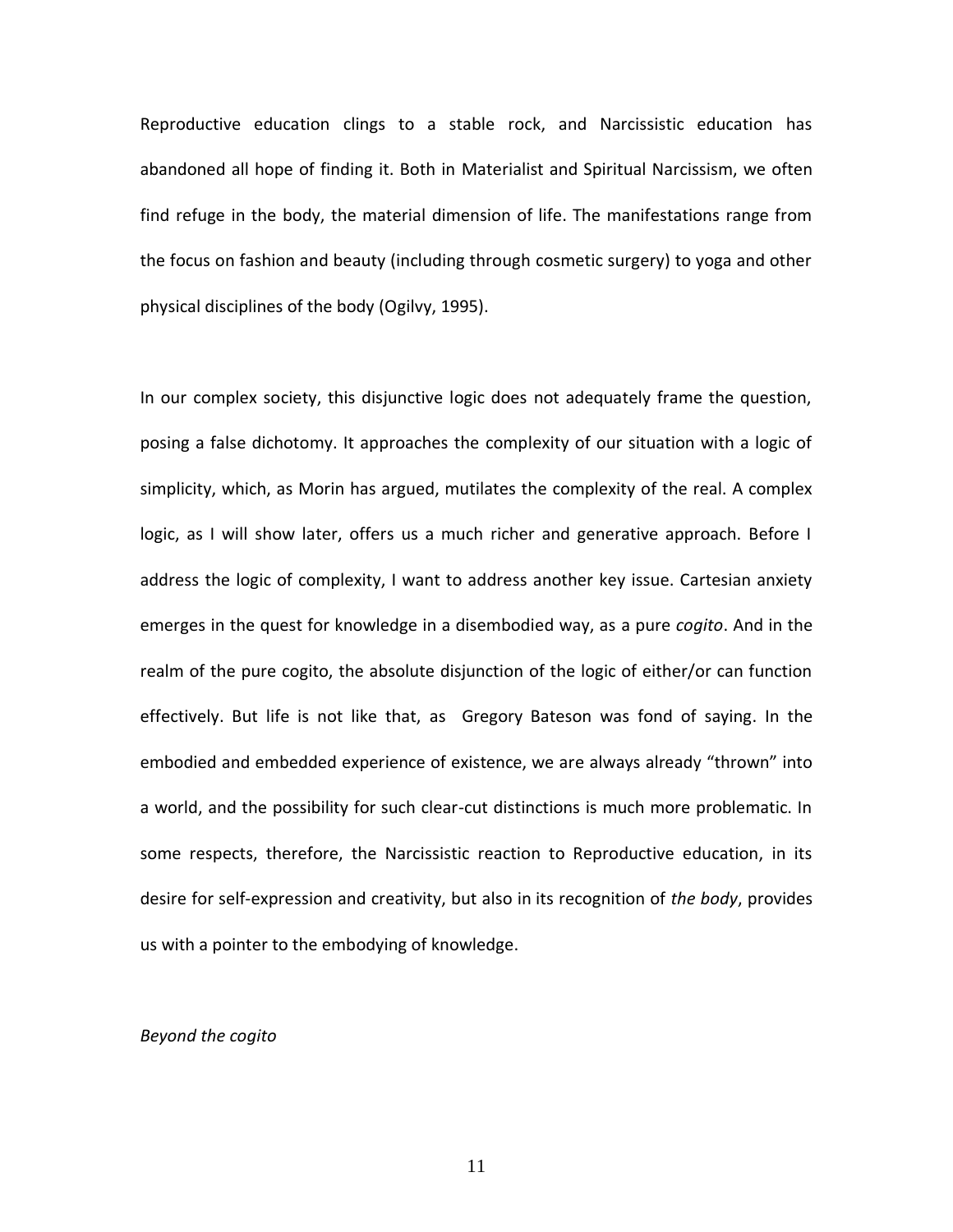Reproductive education clings to a stable rock, and Narcissistic education has abandoned all hope of finding it. Both in Materialist and Spiritual Narcissism, we often find refuge in the body, the material dimension of life. The manifestations range from the focus on fashion and beauty (including through cosmetic surgery) to yoga and other physical disciplines of the body (Ogilvy, 1995).

In our complex society, this disjunctive logic does not adequately frame the question, posing a false dichotomy. It approaches the complexity of our situation with a logic of simplicity, which, as Morin has argued, mutilates the complexity of the real. A complex logic, as I will show later, offers us a much richer and generative approach. Before I address the logic of complexity, I want to address another key issue. Cartesian anxiety emerges in the quest for knowledge in a disembodied way, as a pure *cogito*. And in the realm of the pure cogito, the absolute disjunction of the logic of either/or can function effectively. But life is not like that, as Gregory Bateson was fond of saying. In the embodied and embedded experience of existence, we are always already "thrown" into a world, and the possibility for such clear-cut distinctions is much more problematic. In some respects, therefore, the Narcissistic reaction to Reproductive education, in its desire for self-expression and creativity, but also in its recognition of *the body*, provides us with a pointer to the embodying of knowledge.

# *Beyond the cogito*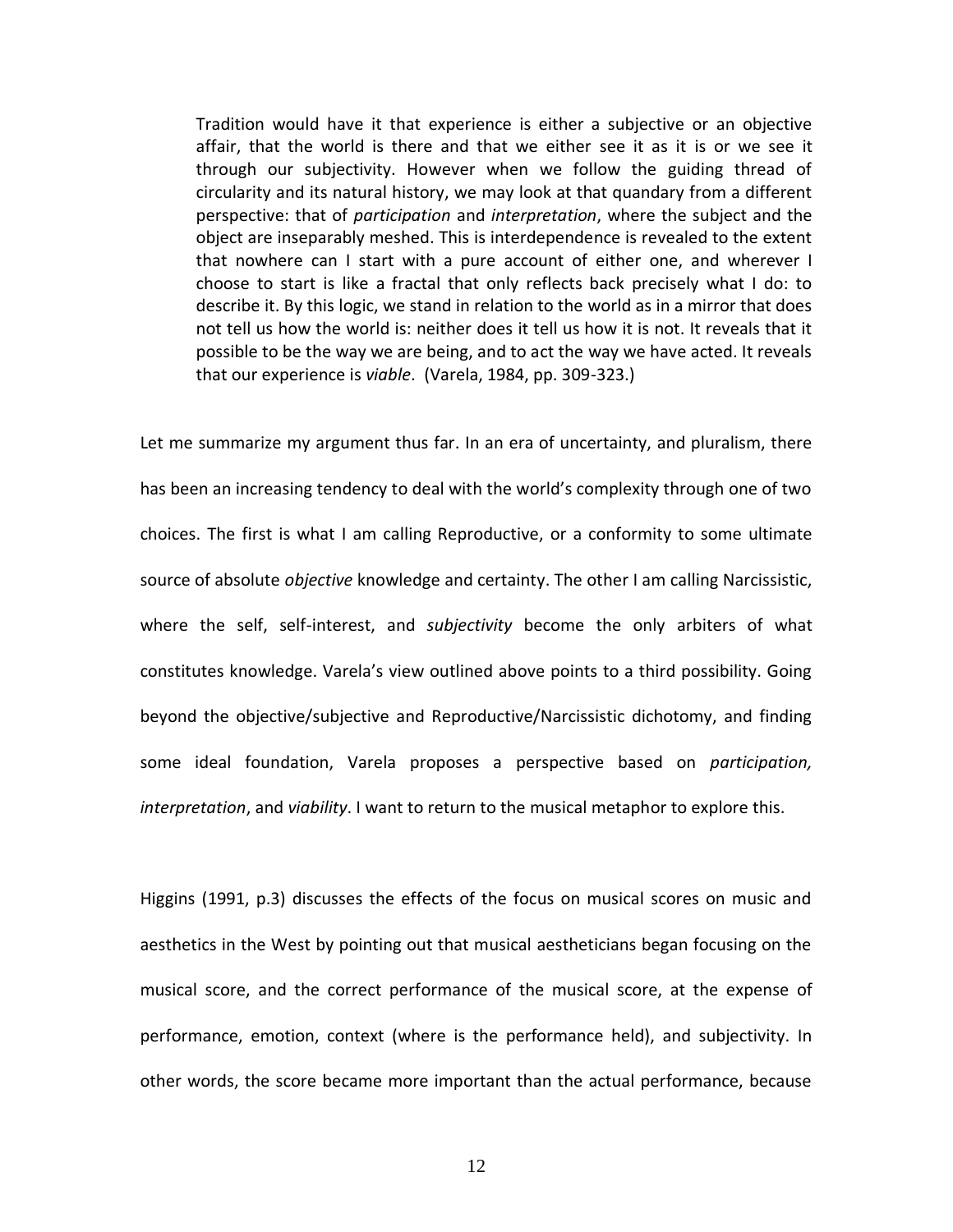Tradition would have it that experience is either a subjective or an objective affair, that the world is there and that we either see it as it is or we see it through our subjectivity. However when we follow the guiding thread of circularity and its natural history, we may look at that quandary from a different perspective: that of *participation* and *interpretation*, where the subject and the object are inseparably meshed. This is interdependence is revealed to the extent that nowhere can I start with a pure account of either one, and wherever I choose to start is like a fractal that only reflects back precisely what I do: to describe it. By this logic, we stand in relation to the world as in a mirror that does not tell us how the world is: neither does it tell us how it is not. It reveals that it possible to be the way we are being, and to act the way we have acted. It reveals that our experience is *viable*. (Varela, 1984, pp. 309-323.)

Let me summarize my argument thus far. In an era of uncertainty, and pluralism, there has been an increasing tendency to deal with the world's complexity through one of two choices. The first is what I am calling Reproductive, or a conformity to some ultimate source of absolute *objective* knowledge and certainty. The other I am calling Narcissistic, where the self, self-interest, and *subjectivity* become the only arbiters of what constitutes knowledge. Varela's view outlined above points to a third possibility. Going beyond the objective/subjective and Reproductive/Narcissistic dichotomy, and finding some ideal foundation, Varela proposes a perspective based on *participation, interpretation*, and *viability*. I want to return to the musical metaphor to explore this.

Higgins (1991, p.3) discusses the effects of the focus on musical scores on music and aesthetics in the West by pointing out that musical aestheticians began focusing on the musical score, and the correct performance of the musical score, at the expense of performance, emotion, context (where is the performance held), and subjectivity. In other words, the score became more important than the actual performance, because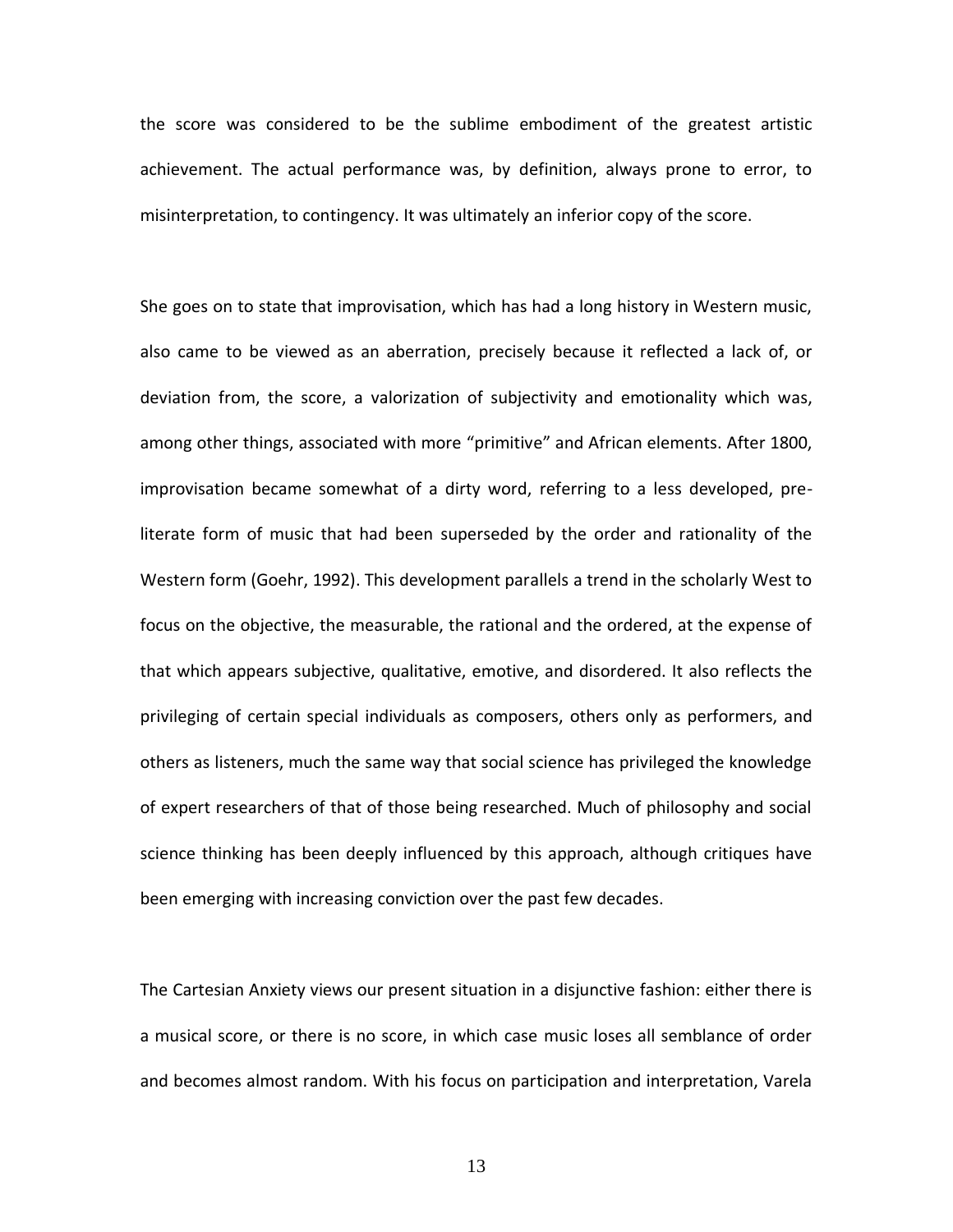the score was considered to be the sublime embodiment of the greatest artistic achievement. The actual performance was, by definition, always prone to error, to misinterpretation, to contingency. It was ultimately an inferior copy of the score.

She goes on to state that improvisation, which has had a long history in Western music, also came to be viewed as an aberration, precisely because it reflected a lack of, or deviation from, the score, a valorization of subjectivity and emotionality which was, among other things, associated with more "primitive" and African elements. After 1800, improvisation became somewhat of a dirty word, referring to a less developed, preliterate form of music that had been superseded by the order and rationality of the Western form (Goehr, 1992). This development parallels a trend in the scholarly West to focus on the objective, the measurable, the rational and the ordered, at the expense of that which appears subjective, qualitative, emotive, and disordered. It also reflects the privileging of certain special individuals as composers, others only as performers, and others as listeners, much the same way that social science has privileged the knowledge of expert researchers of that of those being researched. Much of philosophy and social science thinking has been deeply influenced by this approach, although critiques have been emerging with increasing conviction over the past few decades.

The Cartesian Anxiety views our present situation in a disjunctive fashion: either there is a musical score, or there is no score, in which case music loses all semblance of order and becomes almost random. With his focus on participation and interpretation, Varela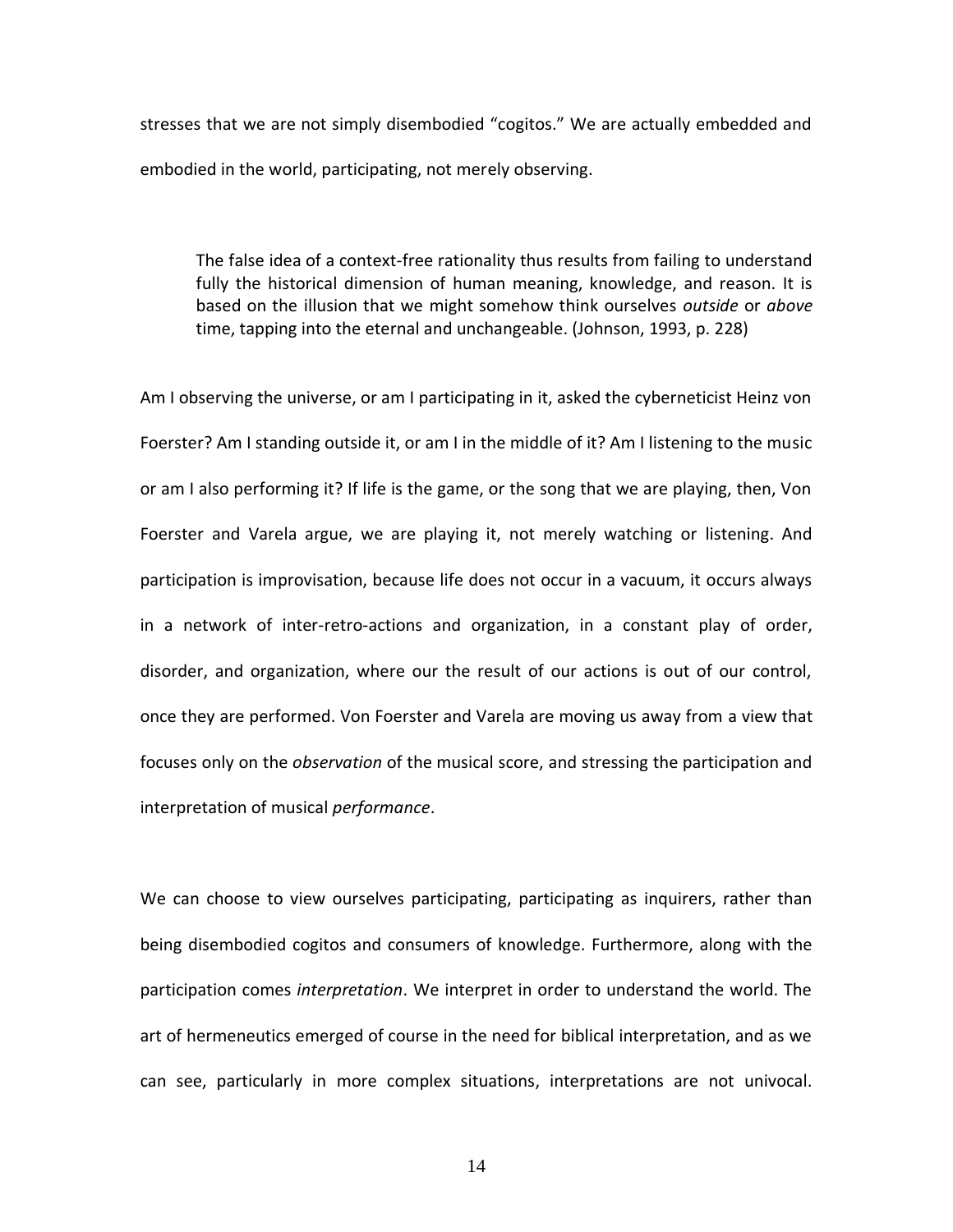stresses that we are not simply disembodied "cogitos." We are actually embedded and embodied in the world, participating, not merely observing.

The false idea of a context-free rationality thus results from failing to understand fully the historical dimension of human meaning, knowledge, and reason. It is based on the illusion that we might somehow think ourselves *outside* or *above* time, tapping into the eternal and unchangeable. (Johnson, 1993, p. 228)

Am I observing the universe, or am I participating in it, asked the cyberneticist Heinz von Foerster? Am I standing outside it, or am I in the middle of it? Am I listening to the music or am I also performing it? If life is the game, or the song that we are playing, then, Von Foerster and Varela argue, we are playing it, not merely watching or listening. And participation is improvisation, because life does not occur in a vacuum, it occurs always in a network of inter-retro-actions and organization, in a constant play of order, disorder, and organization, where our the result of our actions is out of our control, once they are performed. Von Foerster and Varela are moving us away from a view that focuses only on the *observation* of the musical score, and stressing the participation and interpretation of musical *performance*.

We can choose to view ourselves participating, participating as inquirers, rather than being disembodied cogitos and consumers of knowledge. Furthermore, along with the participation comes *interpretation*. We interpret in order to understand the world. The art of hermeneutics emerged of course in the need for biblical interpretation, and as we can see, particularly in more complex situations, interpretations are not univocal.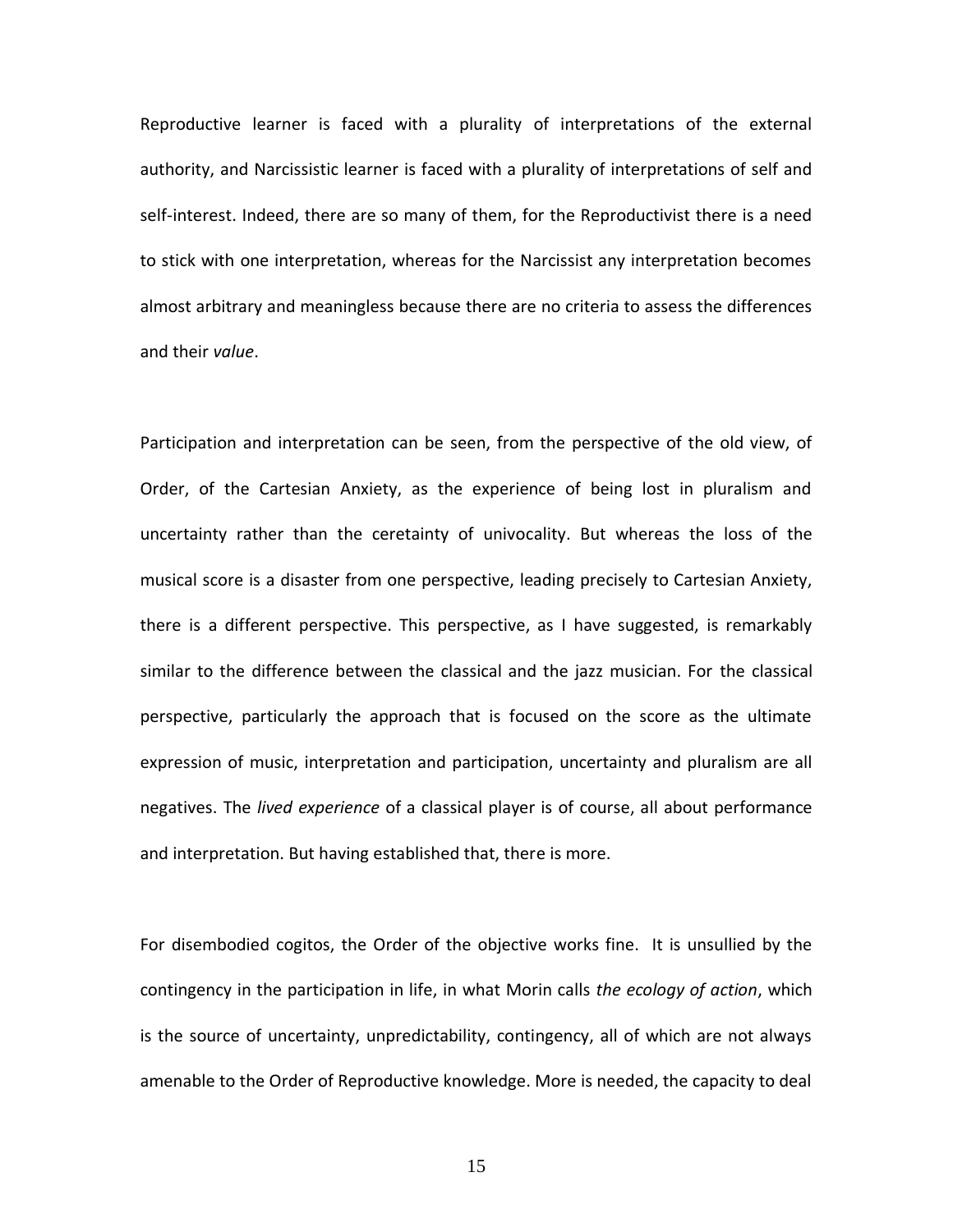Reproductive learner is faced with a plurality of interpretations of the external authority, and Narcissistic learner is faced with a plurality of interpretations of self and self-interest. Indeed, there are so many of them, for the Reproductivist there is a need to stick with one interpretation, whereas for the Narcissist any interpretation becomes almost arbitrary and meaningless because there are no criteria to assess the differences and their *value*.

Participation and interpretation can be seen, from the perspective of the old view, of Order, of the Cartesian Anxiety, as the experience of being lost in pluralism and uncertainty rather than the ceretainty of univocality. But whereas the loss of the musical score is a disaster from one perspective, leading precisely to Cartesian Anxiety, there is a different perspective. This perspective, as I have suggested, is remarkably similar to the difference between the classical and the jazz musician. For the classical perspective, particularly the approach that is focused on the score as the ultimate expression of music, interpretation and participation, uncertainty and pluralism are all negatives. The *lived experience* of a classical player is of course, all about performance and interpretation. But having established that, there is more.

For disembodied cogitos, the Order of the objective works fine. It is unsullied by the contingency in the participation in life, in what Morin calls *the ecology of action*, which is the source of uncertainty, unpredictability, contingency, all of which are not always amenable to the Order of Reproductive knowledge. More is needed, the capacity to deal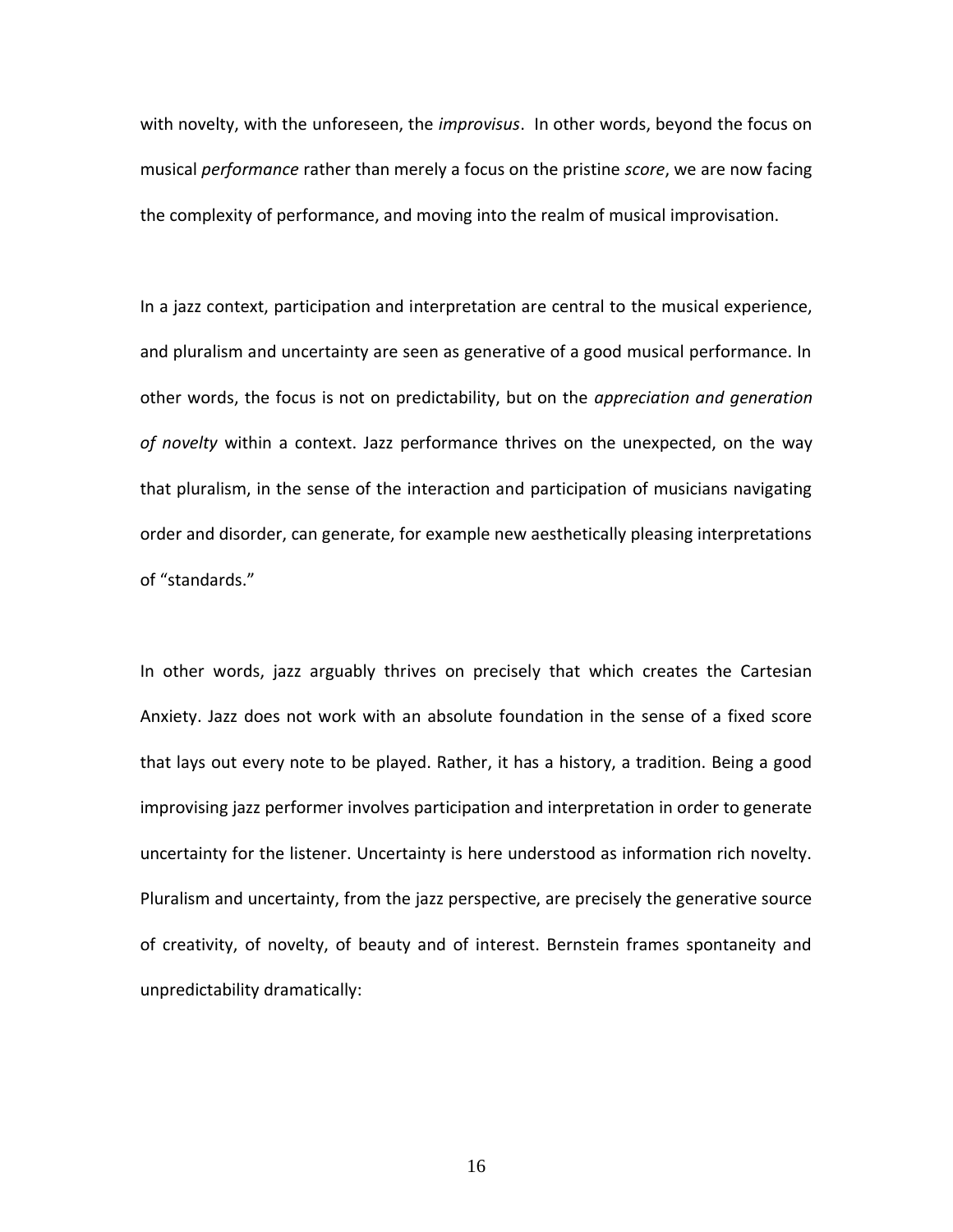with novelty, with the unforeseen, the *improvisus*. In other words, beyond the focus on musical *performance* rather than merely a focus on the pristine *score*, we are now facing the complexity of performance, and moving into the realm of musical improvisation.

In a jazz context, participation and interpretation are central to the musical experience, and pluralism and uncertainty are seen as generative of a good musical performance. In other words, the focus is not on predictability, but on the *appreciation and generation of novelty* within a context. Jazz performance thrives on the unexpected, on the way that pluralism, in the sense of the interaction and participation of musicians navigating order and disorder, can generate, for example new aesthetically pleasing interpretations of "standards."

In other words, jazz arguably thrives on precisely that which creates the Cartesian Anxiety. Jazz does not work with an absolute foundation in the sense of a fixed score that lays out every note to be played. Rather, it has a history, a tradition. Being a good improvising jazz performer involves participation and interpretation in order to generate uncertainty for the listener. Uncertainty is here understood as information rich novelty. Pluralism and uncertainty, from the jazz perspective, are precisely the generative source of creativity, of novelty, of beauty and of interest. Bernstein frames spontaneity and unpredictability dramatically: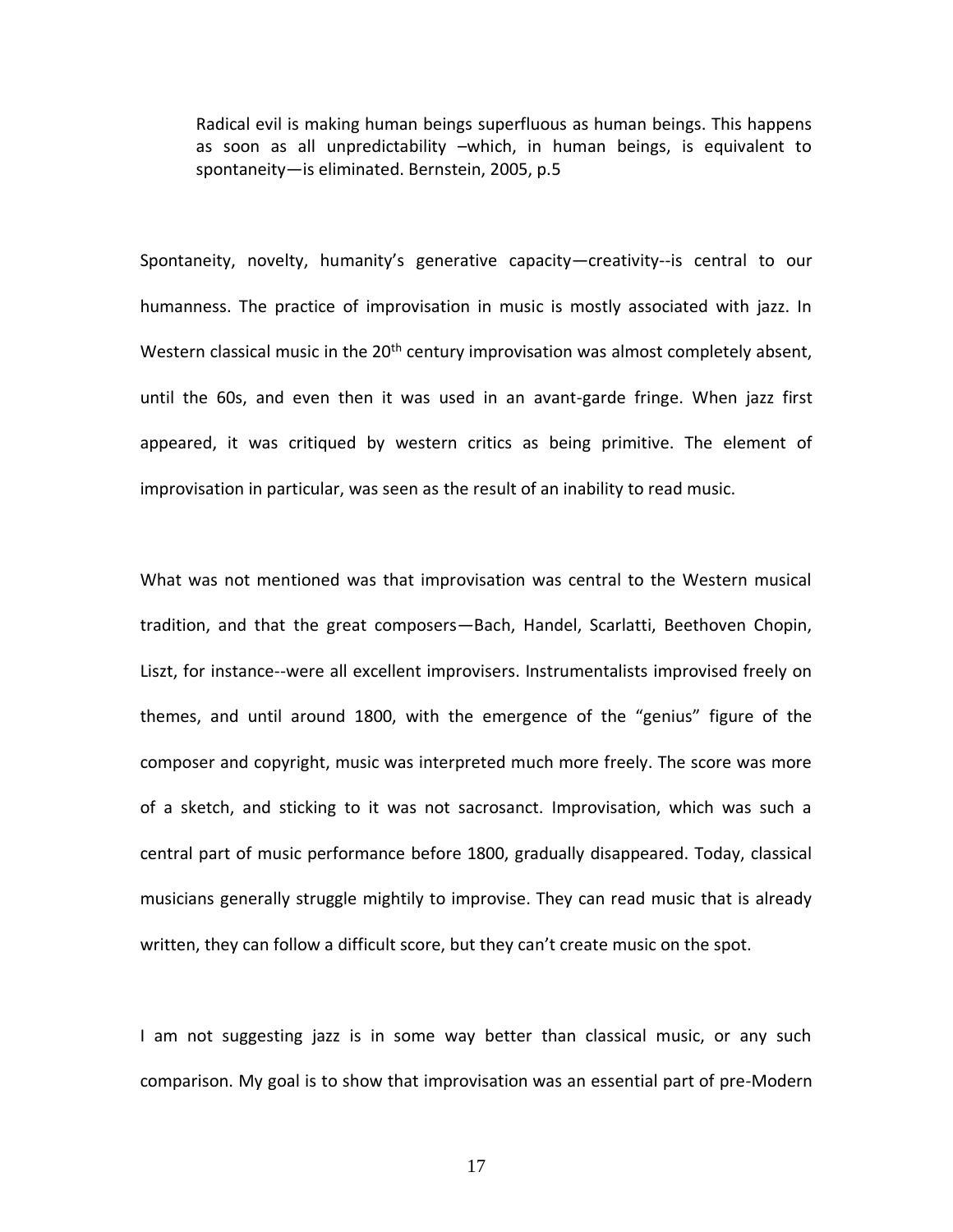Radical evil is making human beings superfluous as human beings. This happens as soon as all unpredictability –which, in human beings, is equivalent to spontaneity—is eliminated. Bernstein, 2005, p.5

Spontaneity, novelty, humanity's generative capacity—creativity--is central to our humanness. The practice of improvisation in music is mostly associated with jazz. In Western classical music in the  $20<sup>th</sup>$  century improvisation was almost completely absent, until the 60s, and even then it was used in an avant-garde fringe. When jazz first appeared, it was critiqued by western critics as being primitive. The element of improvisation in particular, was seen as the result of an inability to read music.

What was not mentioned was that improvisation was central to the Western musical tradition, and that the great composers—Bach, Handel, Scarlatti, Beethoven Chopin, Liszt, for instance--were all excellent improvisers. Instrumentalists improvised freely on themes, and until around 1800, with the emergence of the "genius" figure of the composer and copyright, music was interpreted much more freely. The score was more of a sketch, and sticking to it was not sacrosanct. Improvisation, which was such a central part of music performance before 1800, gradually disappeared. Today, classical musicians generally struggle mightily to improvise. They can read music that is already written, they can follow a difficult score, but they can't create music on the spot.

I am not suggesting jazz is in some way better than classical music, or any such comparison. My goal is to show that improvisation was an essential part of pre-Modern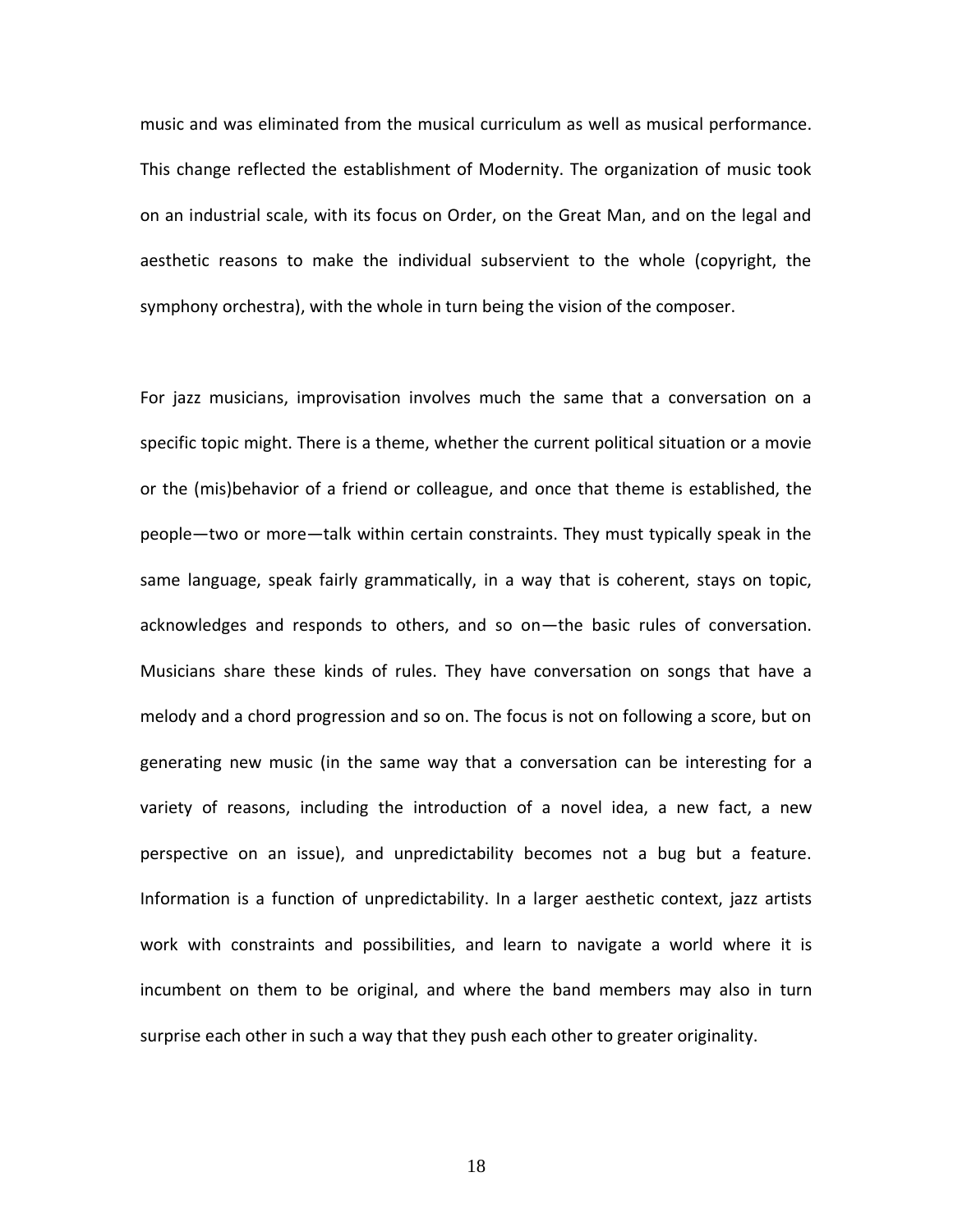music and was eliminated from the musical curriculum as well as musical performance. This change reflected the establishment of Modernity. The organization of music took on an industrial scale, with its focus on Order, on the Great Man, and on the legal and aesthetic reasons to make the individual subservient to the whole (copyright, the symphony orchestra), with the whole in turn being the vision of the composer.

For jazz musicians, improvisation involves much the same that a conversation on a specific topic might. There is a theme, whether the current political situation or a movie or the (mis)behavior of a friend or colleague, and once that theme is established, the people—two or more—talk within certain constraints. They must typically speak in the same language, speak fairly grammatically, in a way that is coherent, stays on topic, acknowledges and responds to others, and so on—the basic rules of conversation. Musicians share these kinds of rules. They have conversation on songs that have a melody and a chord progression and so on. The focus is not on following a score, but on generating new music (in the same way that a conversation can be interesting for a variety of reasons, including the introduction of a novel idea, a new fact, a new perspective on an issue), and unpredictability becomes not a bug but a feature. Information is a function of unpredictability. In a larger aesthetic context, jazz artists work with constraints and possibilities, and learn to navigate a world where it is incumbent on them to be original, and where the band members may also in turn surprise each other in such a way that they push each other to greater originality.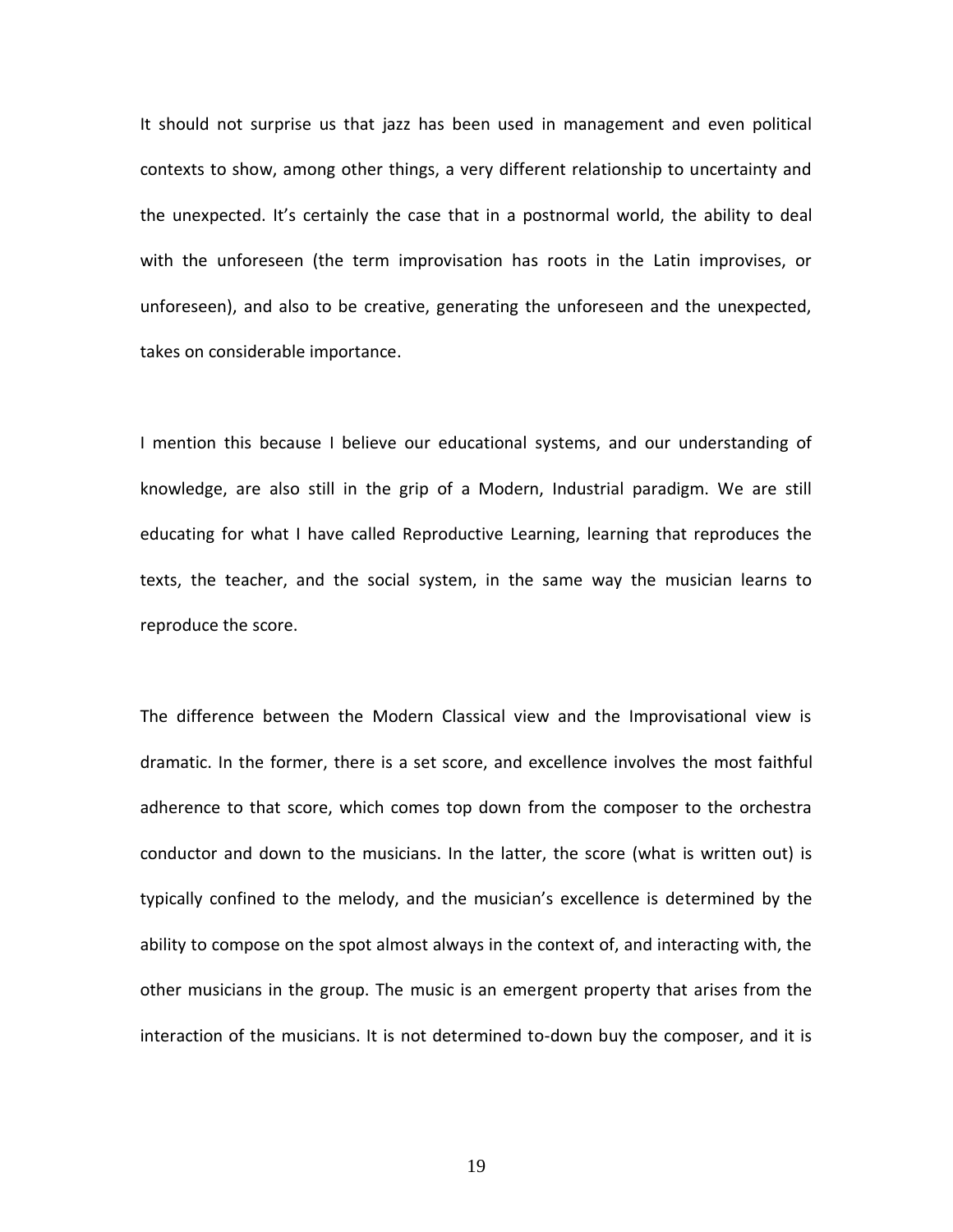It should not surprise us that jazz has been used in management and even political contexts to show, among other things, a very different relationship to uncertainty and the unexpected. It's certainly the case that in a postnormal world, the ability to deal with the unforeseen (the term improvisation has roots in the Latin improvises, or unforeseen), and also to be creative, generating the unforeseen and the unexpected, takes on considerable importance.

I mention this because I believe our educational systems, and our understanding of knowledge, are also still in the grip of a Modern, Industrial paradigm. We are still educating for what I have called Reproductive Learning, learning that reproduces the texts, the teacher, and the social system, in the same way the musician learns to reproduce the score.

The difference between the Modern Classical view and the Improvisational view is dramatic. In the former, there is a set score, and excellence involves the most faithful adherence to that score, which comes top down from the composer to the orchestra conductor and down to the musicians. In the latter, the score (what is written out) is typically confined to the melody, and the musician's excellence is determined by the ability to compose on the spot almost always in the context of, and interacting with, the other musicians in the group. The music is an emergent property that arises from the interaction of the musicians. It is not determined to-down buy the composer, and it is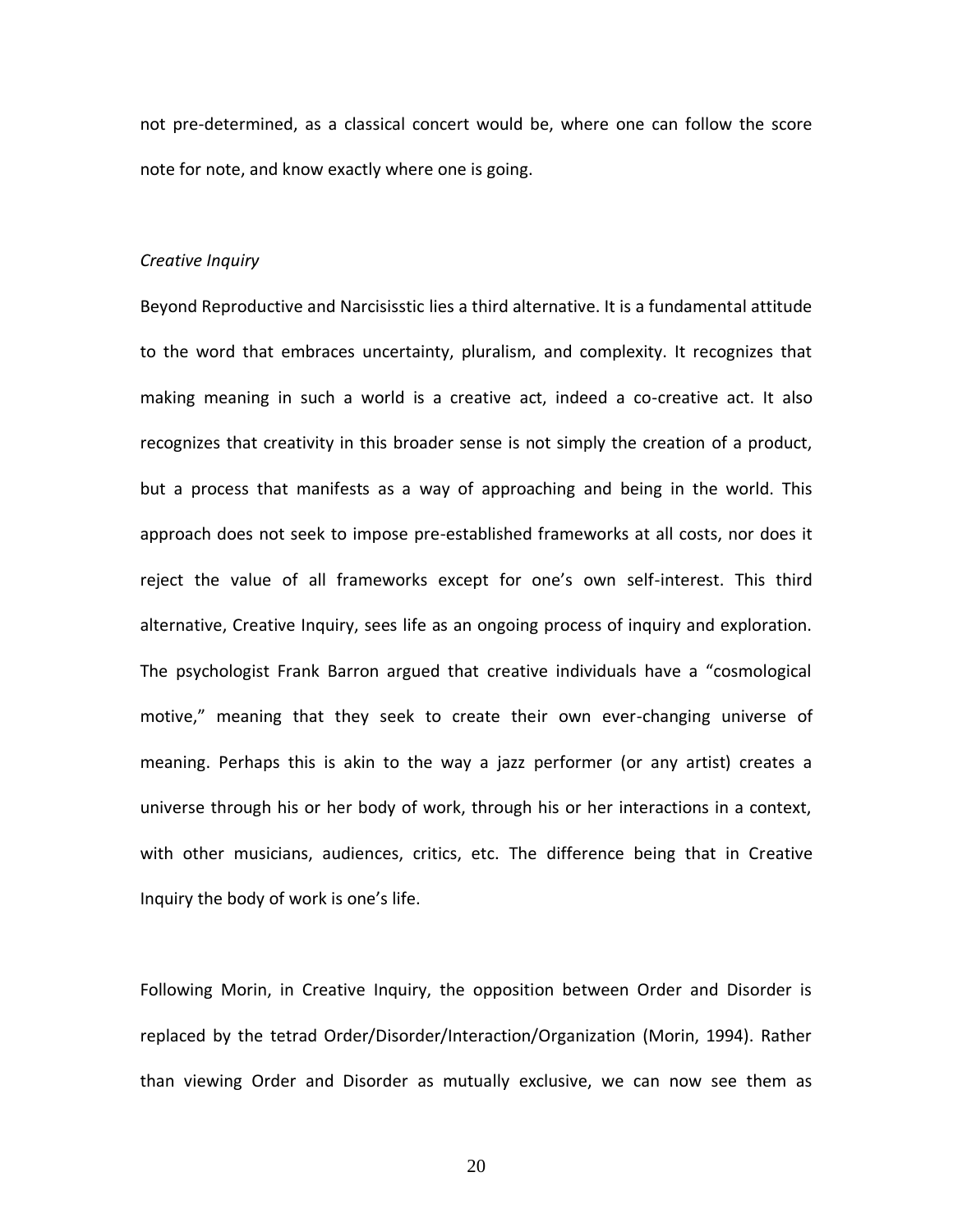not pre-determined, as a classical concert would be, where one can follow the score note for note, and know exactly where one is going.

## *Creative Inquiry*

Beyond Reproductive and Narcisisstic lies a third alternative. It is a fundamental attitude to the word that embraces uncertainty, pluralism, and complexity. It recognizes that making meaning in such a world is a creative act, indeed a co-creative act. It also recognizes that creativity in this broader sense is not simply the creation of a product, but a process that manifests as a way of approaching and being in the world. This approach does not seek to impose pre-established frameworks at all costs, nor does it reject the value of all frameworks except for one's own self-interest. This third alternative, Creative Inquiry, sees life as an ongoing process of inquiry and exploration. The psychologist Frank Barron argued that creative individuals have a "cosmological motive," meaning that they seek to create their own ever-changing universe of meaning. Perhaps this is akin to the way a jazz performer (or any artist) creates a universe through his or her body of work, through his or her interactions in a context, with other musicians, audiences, critics, etc. The difference being that in Creative Inquiry the body of work is one's life.

Following Morin, in Creative Inquiry, the opposition between Order and Disorder is replaced by the tetrad Order/Disorder/Interaction/Organization (Morin, 1994). Rather than viewing Order and Disorder as mutually exclusive, we can now see them as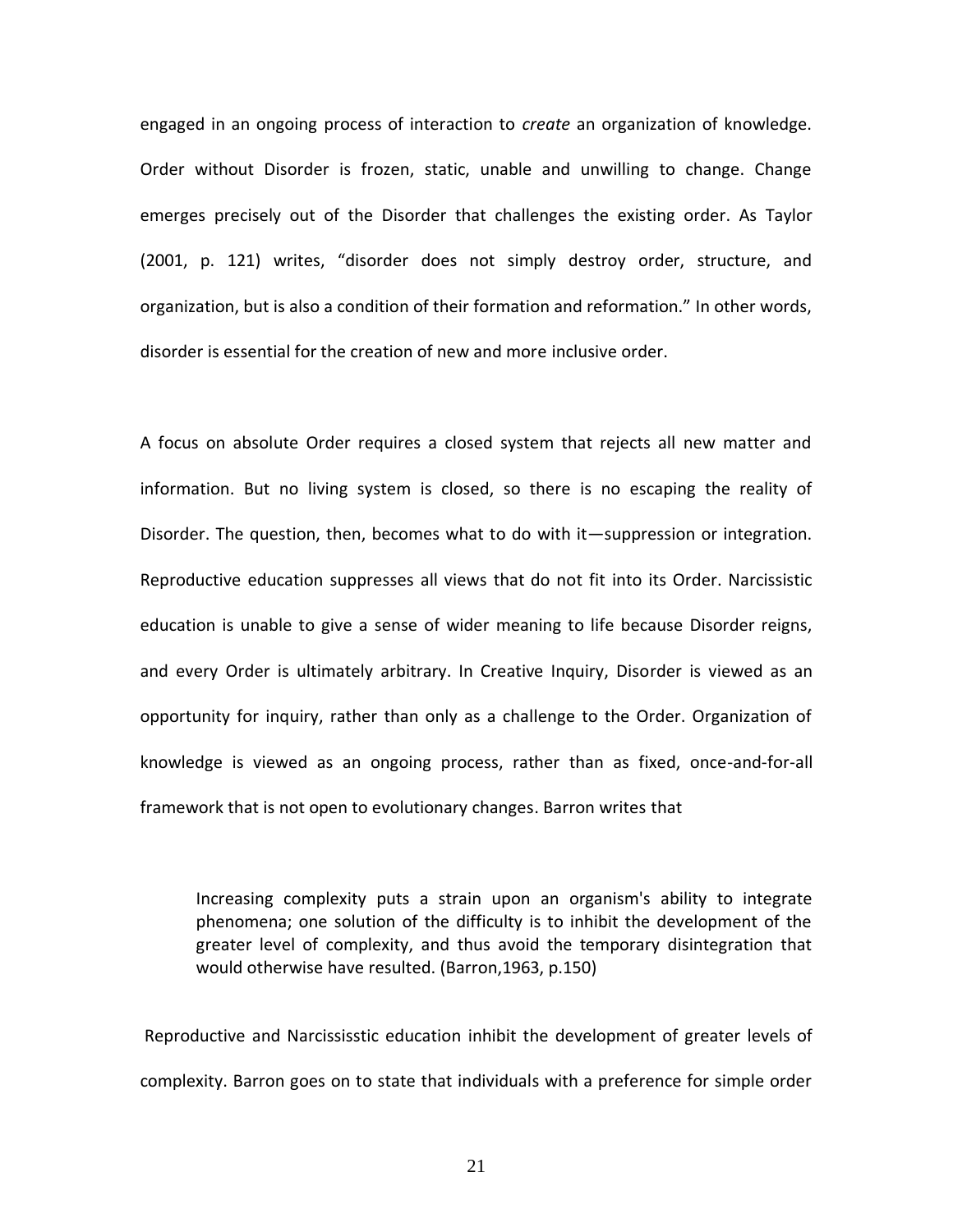engaged in an ongoing process of interaction to *create* an organization of knowledge. Order without Disorder is frozen, static, unable and unwilling to change. Change emerges precisely out of the Disorder that challenges the existing order. As Taylor (2001, p. 121) writes, "disorder does not simply destroy order, structure, and organization, but is also a condition of their formation and reformation." In other words, disorder is essential for the creation of new and more inclusive order.

A focus on absolute Order requires a closed system that rejects all new matter and information. But no living system is closed, so there is no escaping the reality of Disorder. The question, then, becomes what to do with it—suppression or integration. Reproductive education suppresses all views that do not fit into its Order. Narcissistic education is unable to give a sense of wider meaning to life because Disorder reigns, and every Order is ultimately arbitrary. In Creative Inquiry, Disorder is viewed as an opportunity for inquiry, rather than only as a challenge to the Order. Organization of knowledge is viewed as an ongoing process, rather than as fixed, once-and-for-all framework that is not open to evolutionary changes. Barron writes that

Increasing complexity puts a strain upon an organism's ability to integrate phenomena; one solution of the difficulty is to inhibit the development of the greater level of complexity, and thus avoid the temporary disintegration that would otherwise have resulted. (Barron,1963, p.150)

Reproductive and Narcississtic education inhibit the development of greater levels of complexity. Barron goes on to state that individuals with a preference for simple order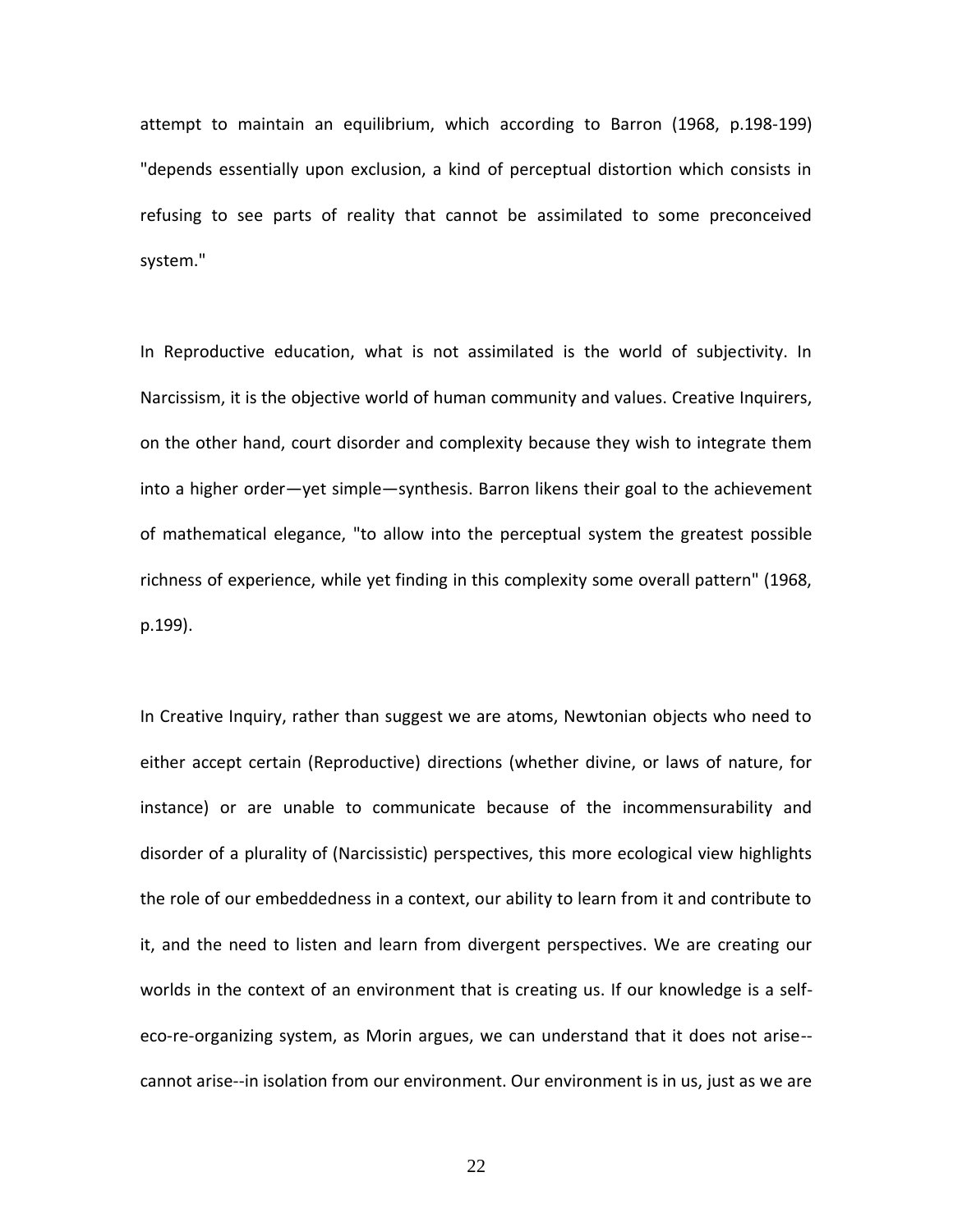attempt to maintain an equilibrium, which according to Barron (1968, p.198-199) "depends essentially upon exclusion, a kind of perceptual distortion which consists in refusing to see parts of reality that cannot be assimilated to some preconceived system."

In Reproductive education, what is not assimilated is the world of subjectivity. In Narcissism, it is the objective world of human community and values. Creative Inquirers, on the other hand, court disorder and complexity because they wish to integrate them into a higher order—yet simple—synthesis. Barron likens their goal to the achievement of mathematical elegance, "to allow into the perceptual system the greatest possible richness of experience, while yet finding in this complexity some overall pattern" (1968, p.199).

In Creative Inquiry, rather than suggest we are atoms, Newtonian objects who need to either accept certain (Reproductive) directions (whether divine, or laws of nature, for instance) or are unable to communicate because of the incommensurability and disorder of a plurality of (Narcissistic) perspectives, this more ecological view highlights the role of our embeddedness in a context, our ability to learn from it and contribute to it, and the need to listen and learn from divergent perspectives. We are creating our worlds in the context of an environment that is creating us. If our knowledge is a selfeco-re-organizing system, as Morin argues, we can understand that it does not arise- cannot arise--in isolation from our environment. Our environment is in us, just as we are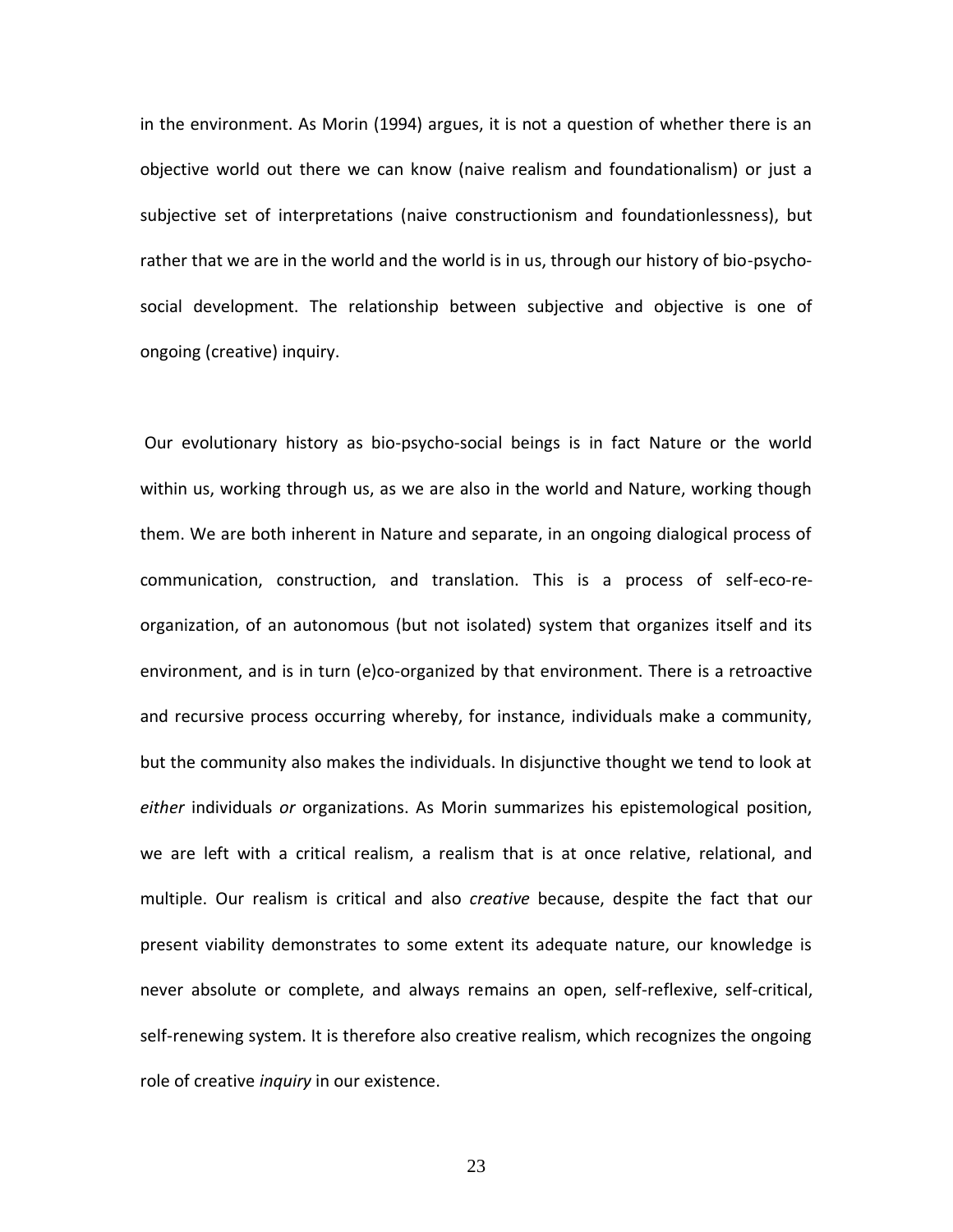in the environment. As Morin (1994) argues, it is not a question of whether there is an objective world out there we can know (naive realism and foundationalism) or just a subjective set of interpretations (naive constructionism and foundationlessness), but rather that we are in the world and the world is in us, through our history of bio-psychosocial development. The relationship between subjective and objective is one of ongoing (creative) inquiry.

Our evolutionary history as bio-psycho-social beings is in fact Nature or the world within us, working through us, as we are also in the world and Nature, working though them. We are both inherent in Nature and separate, in an ongoing dialogical process of communication, construction, and translation. This is a process of self-eco-reorganization, of an autonomous (but not isolated) system that organizes itself and its environment, and is in turn (e)co-organized by that environment. There is a retroactive and recursive process occurring whereby, for instance, individuals make a community, but the community also makes the individuals. In disjunctive thought we tend to look at *either* individuals *or* organizations. As Morin summarizes his epistemological position, we are left with a critical realism, a realism that is at once relative, relational, and multiple. Our realism is critical and also *creative* because, despite the fact that our present viability demonstrates to some extent its adequate nature, our knowledge is never absolute or complete, and always remains an open, self-reflexive, self-critical, self-renewing system. It is therefore also creative realism, which recognizes the ongoing role of creative *inquiry* in our existence.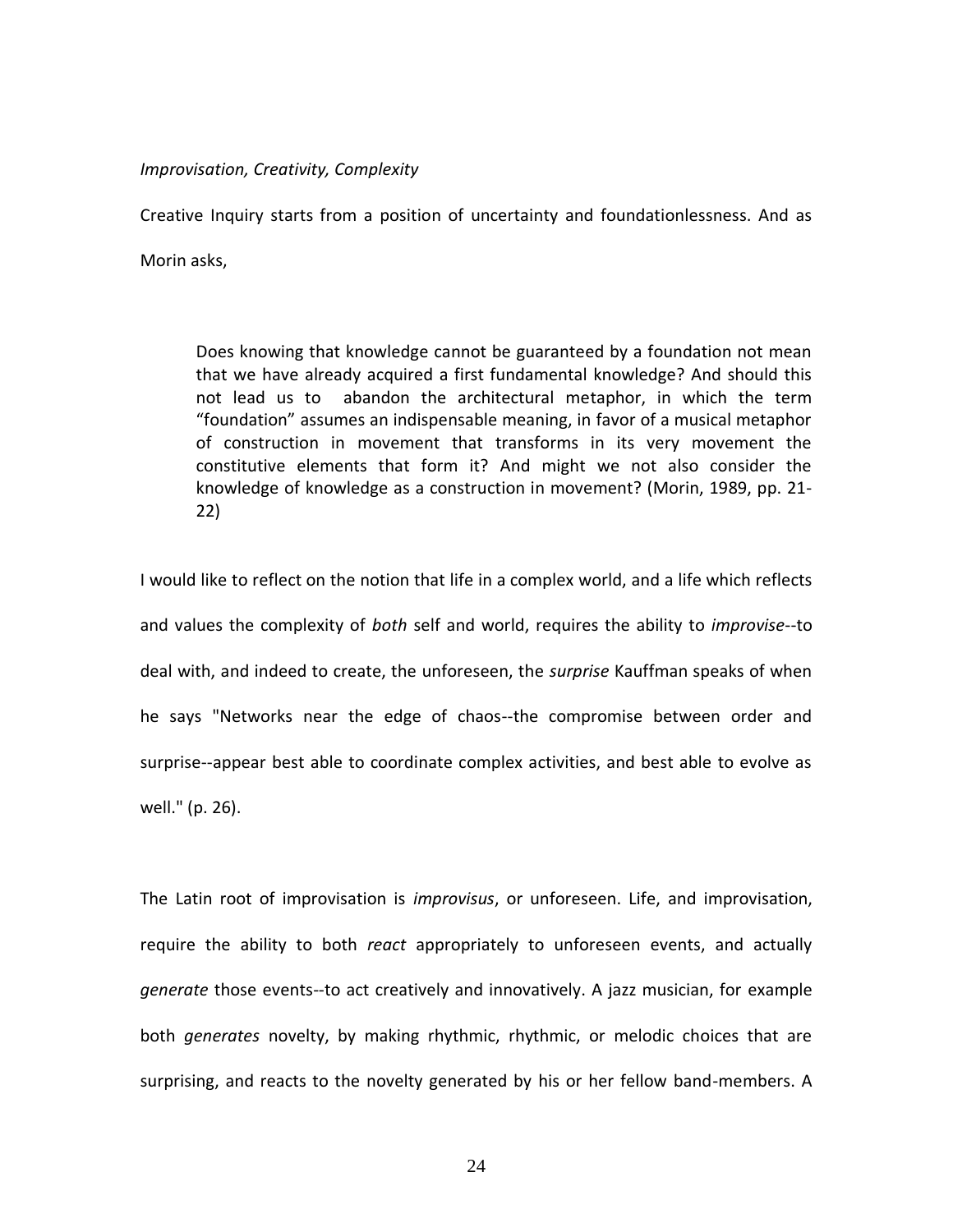#### *Improvisation, Creativity, Complexity*

Creative Inquiry starts from a position of uncertainty and foundationlessness. And as

Morin asks,

Does knowing that knowledge cannot be guaranteed by a foundation not mean that we have already acquired a first fundamental knowledge? And should this not lead us to abandon the architectural metaphor, in which the term "foundation" assumes an indispensable meaning, in favor of a musical metaphor of construction in movement that transforms in its very movement the constitutive elements that form it? And might we not also consider the knowledge of knowledge as a construction in movement? (Morin, 1989, pp. 21- 22)

I would like to reflect on the notion that life in a complex world, and a life which reflects and values the complexity of *both* self and world, requires the ability to *improvise*--to deal with, and indeed to create, the unforeseen, the *surprise* Kauffman speaks of when he says "Networks near the edge of chaos--the compromise between order and surprise--appear best able to coordinate complex activities, and best able to evolve as well." (p. 26).

The Latin root of improvisation is *improvisus*, or unforeseen. Life, and improvisation, require the ability to both *react* appropriately to unforeseen events, and actually *generate* those events--to act creatively and innovatively. A jazz musician, for example both *generates* novelty, by making rhythmic, rhythmic, or melodic choices that are surprising, and reacts to the novelty generated by his or her fellow band-members. A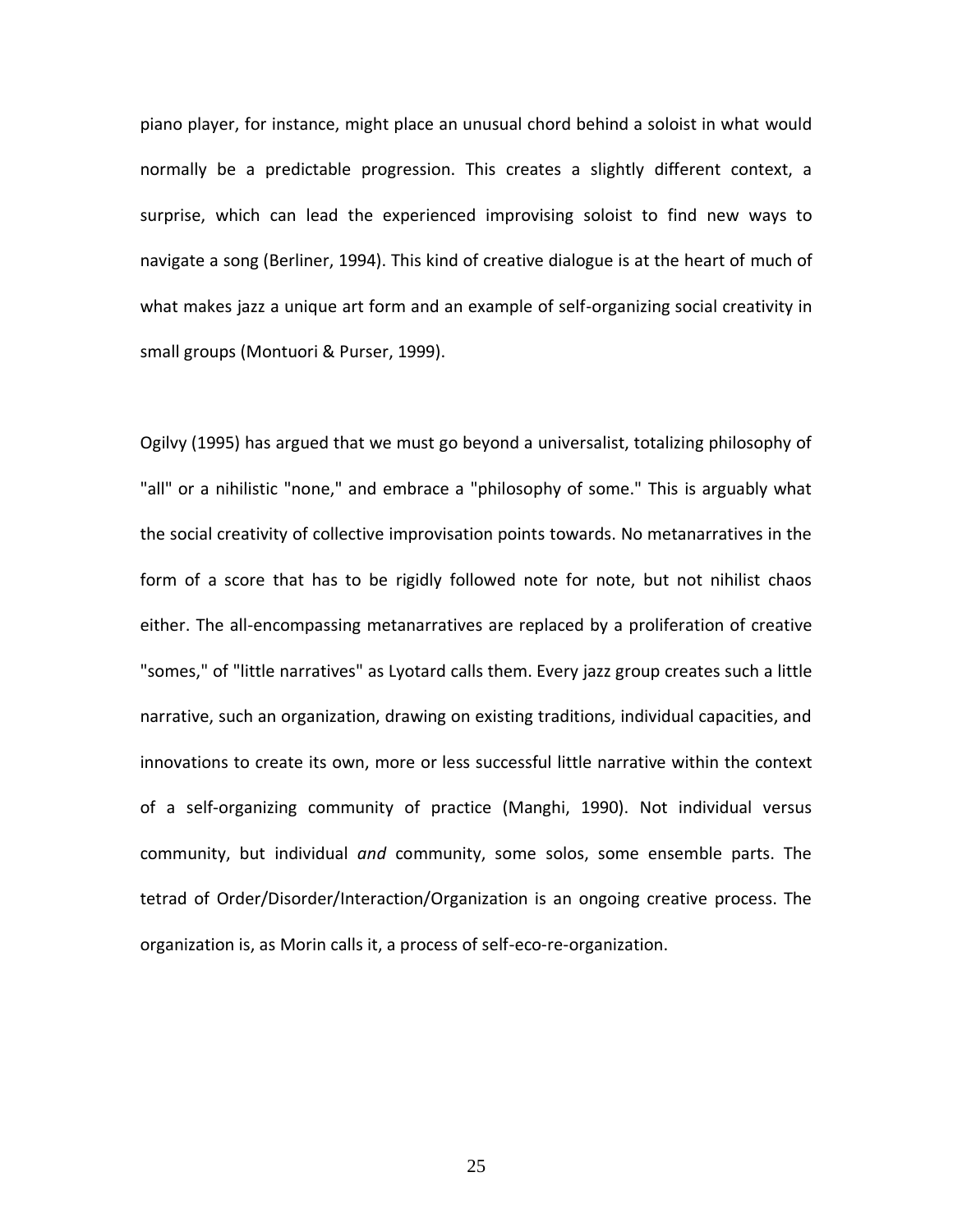piano player, for instance, might place an unusual chord behind a soloist in what would normally be a predictable progression. This creates a slightly different context, a surprise, which can lead the experienced improvising soloist to find new ways to navigate a song (Berliner, 1994). This kind of creative dialogue is at the heart of much of what makes jazz a unique art form and an example of self-organizing social creativity in small groups (Montuori & Purser, 1999).

Ogilvy (1995) has argued that we must go beyond a universalist, totalizing philosophy of "all" or a nihilistic "none," and embrace a "philosophy of some." This is arguably what the social creativity of collective improvisation points towards. No metanarratives in the form of a score that has to be rigidly followed note for note, but not nihilist chaos either. The all-encompassing metanarratives are replaced by a proliferation of creative "somes," of "little narratives" as Lyotard calls them. Every jazz group creates such a little narrative, such an organization, drawing on existing traditions, individual capacities, and innovations to create its own, more or less successful little narrative within the context of a self-organizing community of practice (Manghi, 1990). Not individual versus community, but individual *and* community, some solos, some ensemble parts. The tetrad of Order/Disorder/Interaction/Organization is an ongoing creative process. The organization is, as Morin calls it, a process of self-eco-re-organization.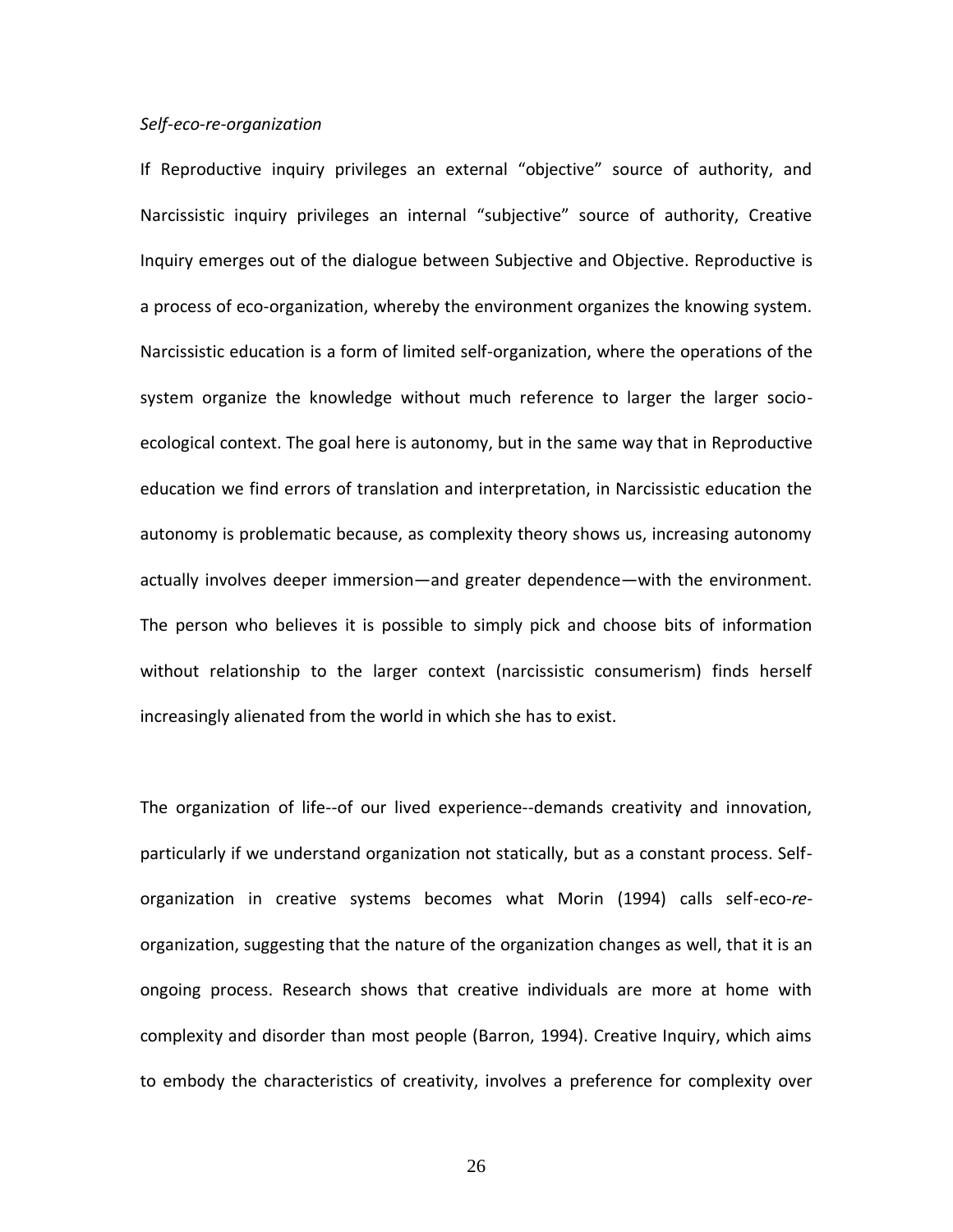# *Self-eco-re-organization*

If Reproductive inquiry privileges an external "objective" source of authority, and Narcissistic inquiry privileges an internal "subjective" source of authority, Creative Inquiry emerges out of the dialogue between Subjective and Objective. Reproductive is a process of eco-organization, whereby the environment organizes the knowing system. Narcissistic education is a form of limited self-organization, where the operations of the system organize the knowledge without much reference to larger the larger socioecological context. The goal here is autonomy, but in the same way that in Reproductive education we find errors of translation and interpretation, in Narcissistic education the autonomy is problematic because, as complexity theory shows us, increasing autonomy actually involves deeper immersion—and greater dependence—with the environment. The person who believes it is possible to simply pick and choose bits of information without relationship to the larger context (narcissistic consumerism) finds herself increasingly alienated from the world in which she has to exist.

The organization of life--of our lived experience--demands creativity and innovation, particularly if we understand organization not statically, but as a constant process. Selforganization in creative systems becomes what Morin (1994) calls self-eco-*re*organization, suggesting that the nature of the organization changes as well, that it is an ongoing process. Research shows that creative individuals are more at home with complexity and disorder than most people (Barron, 1994). Creative Inquiry, which aims to embody the characteristics of creativity, involves a preference for complexity over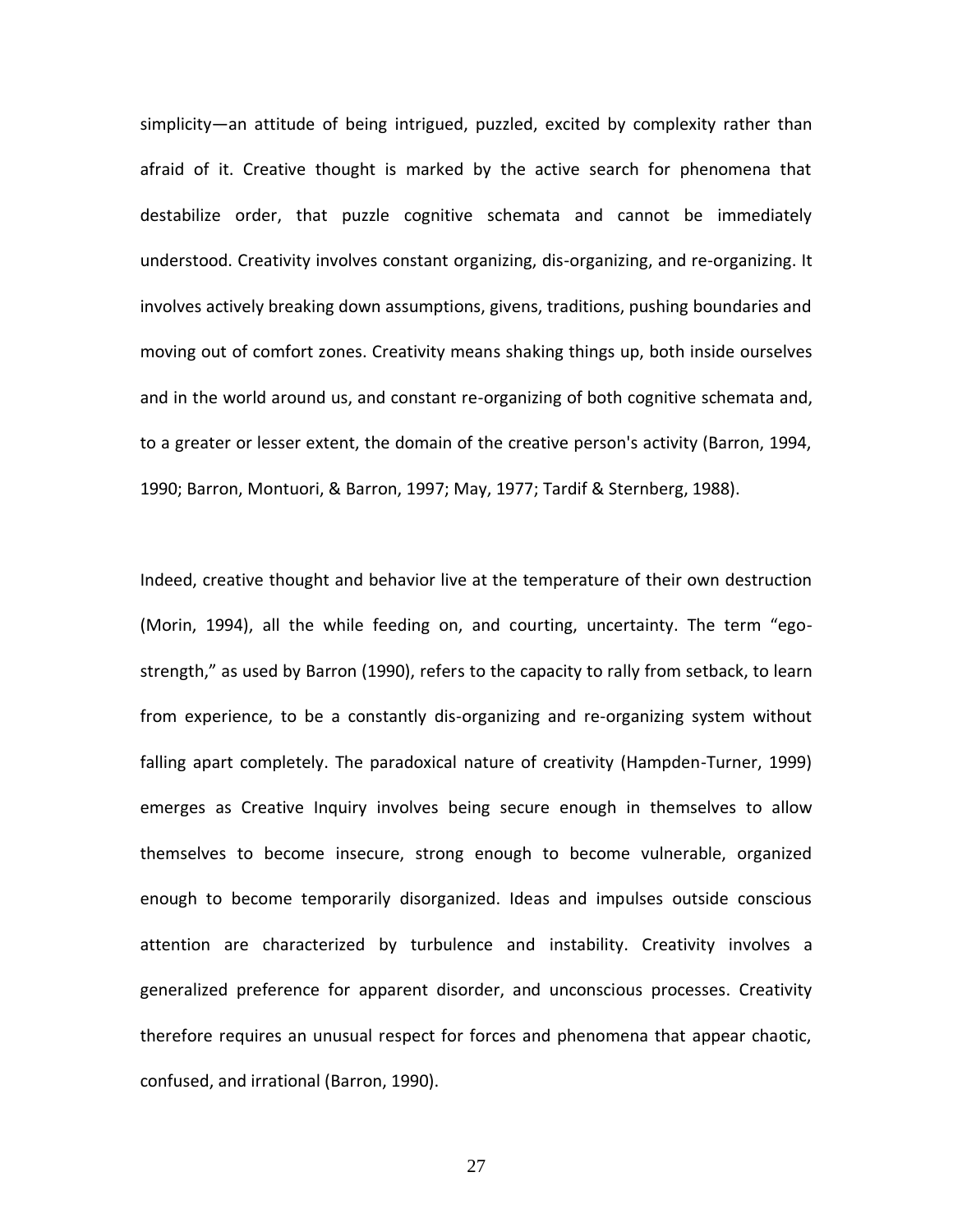simplicity—an attitude of being intrigued, puzzled, excited by complexity rather than afraid of it. Creative thought is marked by the active search for phenomena that destabilize order, that puzzle cognitive schemata and cannot be immediately understood. Creativity involves constant organizing, dis-organizing, and re-organizing. It involves actively breaking down assumptions, givens, traditions, pushing boundaries and moving out of comfort zones. Creativity means shaking things up, both inside ourselves and in the world around us, and constant re-organizing of both cognitive schemata and, to a greater or lesser extent, the domain of the creative person's activity (Barron, 1994, 1990; Barron, Montuori, & Barron, 1997; May, 1977; Tardif & Sternberg, 1988).

Indeed, creative thought and behavior live at the temperature of their own destruction (Morin, 1994), all the while feeding on, and courting, uncertainty. The term "egostrength," as used by Barron (1990), refers to the capacity to rally from setback, to learn from experience, to be a constantly dis-organizing and re-organizing system without falling apart completely. The paradoxical nature of creativity (Hampden-Turner, 1999) emerges as Creative Inquiry involves being secure enough in themselves to allow themselves to become insecure, strong enough to become vulnerable, organized enough to become temporarily disorganized. Ideas and impulses outside conscious attention are characterized by turbulence and instability. Creativity involves a generalized preference for apparent disorder, and unconscious processes. Creativity therefore requires an unusual respect for forces and phenomena that appear chaotic, confused, and irrational (Barron, 1990).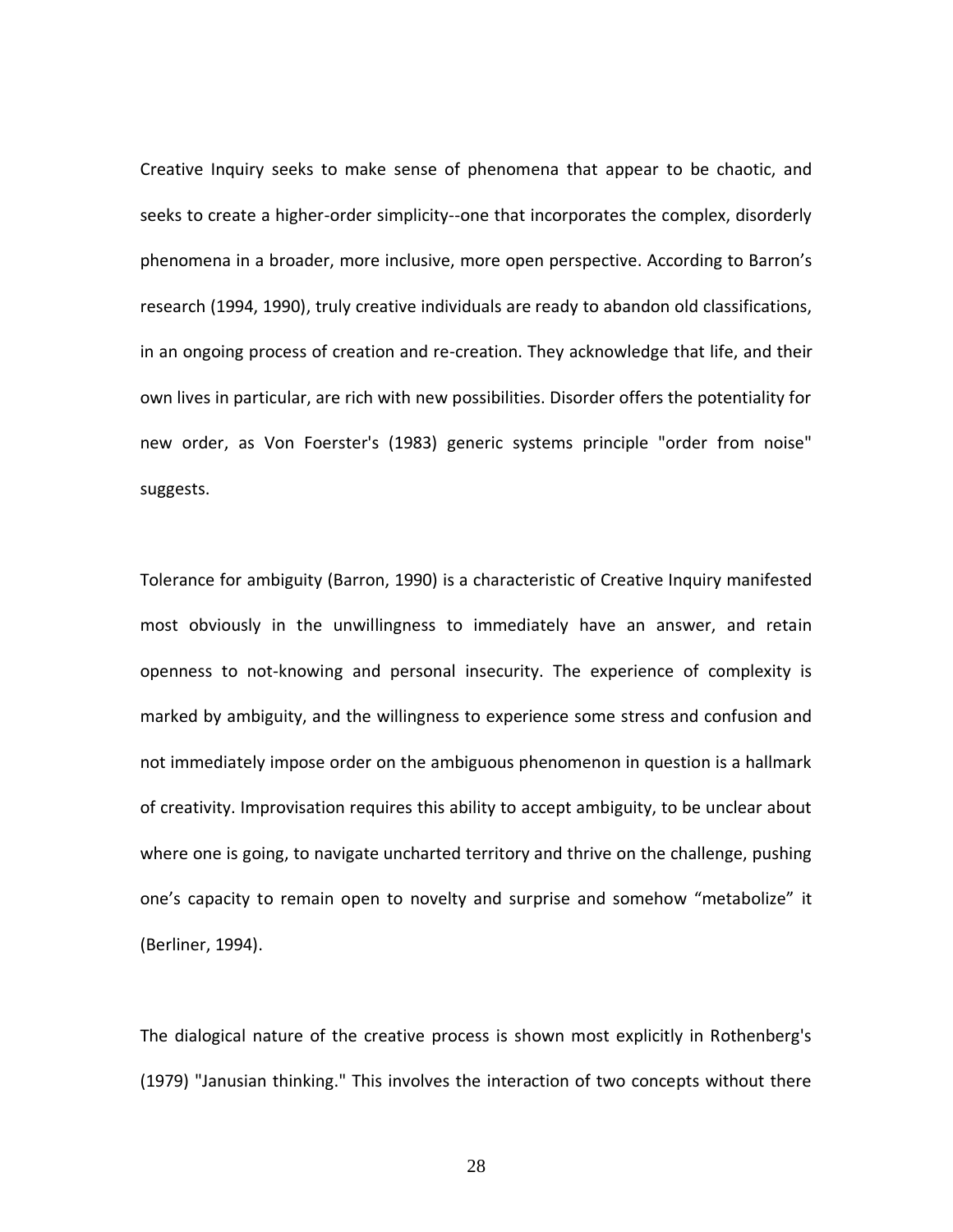Creative Inquiry seeks to make sense of phenomena that appear to be chaotic, and seeks to create a higher-order simplicity--one that incorporates the complex, disorderly phenomena in a broader, more inclusive, more open perspective. According to Barron's research (1994, 1990), truly creative individuals are ready to abandon old classifications, in an ongoing process of creation and re-creation. They acknowledge that life, and their own lives in particular, are rich with new possibilities. Disorder offers the potentiality for new order, as Von Foerster's (1983) generic systems principle "order from noise" suggests.

Tolerance for ambiguity (Barron, 1990) is a characteristic of Creative Inquiry manifested most obviously in the unwillingness to immediately have an answer, and retain openness to not-knowing and personal insecurity. The experience of complexity is marked by ambiguity, and the willingness to experience some stress and confusion and not immediately impose order on the ambiguous phenomenon in question is a hallmark of creativity. Improvisation requires this ability to accept ambiguity, to be unclear about where one is going, to navigate uncharted territory and thrive on the challenge, pushing one's capacity to remain open to novelty and surprise and somehow "metabolize" it (Berliner, 1994).

The dialogical nature of the creative process is shown most explicitly in Rothenberg's (1979) "Janusian thinking." This involves the interaction of two concepts without there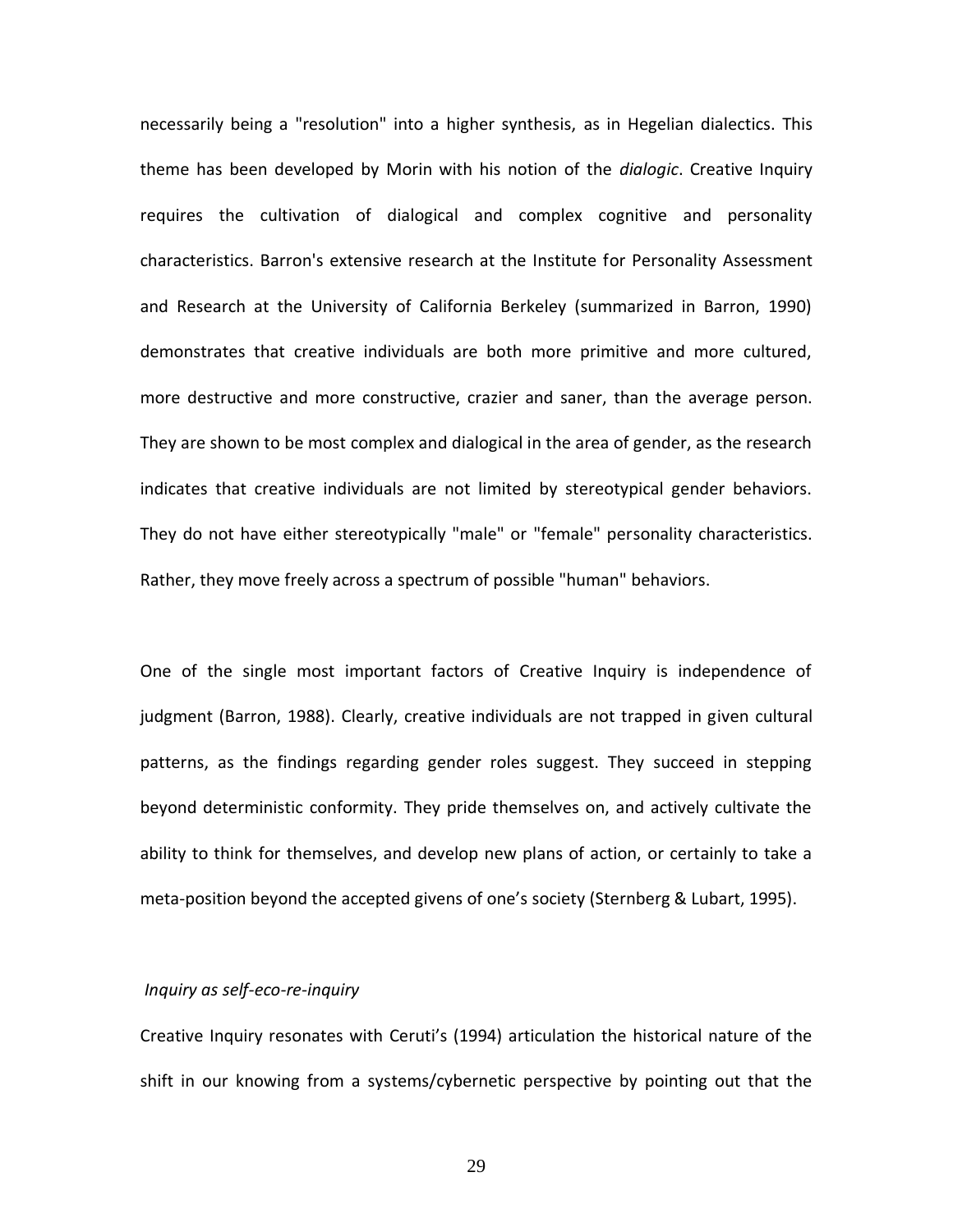necessarily being a "resolution" into a higher synthesis, as in Hegelian dialectics. This theme has been developed by Morin with his notion of the *dialogic*. Creative Inquiry requires the cultivation of dialogical and complex cognitive and personality characteristics. Barron's extensive research at the Institute for Personality Assessment and Research at the University of California Berkeley (summarized in Barron, 1990) demonstrates that creative individuals are both more primitive and more cultured, more destructive and more constructive, crazier and saner, than the average person. They are shown to be most complex and dialogical in the area of gender, as the research indicates that creative individuals are not limited by stereotypical gender behaviors. They do not have either stereotypically "male" or "female" personality characteristics. Rather, they move freely across a spectrum of possible "human" behaviors.

One of the single most important factors of Creative Inquiry is independence of judgment (Barron, 1988). Clearly, creative individuals are not trapped in given cultural patterns, as the findings regarding gender roles suggest. They succeed in stepping beyond deterministic conformity. They pride themselves on, and actively cultivate the ability to think for themselves, and develop new plans of action, or certainly to take a meta-position beyond the accepted givens of one's society (Sternberg & Lubart, 1995).

### *Inquiry as self-eco-re-inquiry*

Creative Inquiry resonates with Ceruti's (1994) articulation the historical nature of the shift in our knowing from a systems/cybernetic perspective by pointing out that the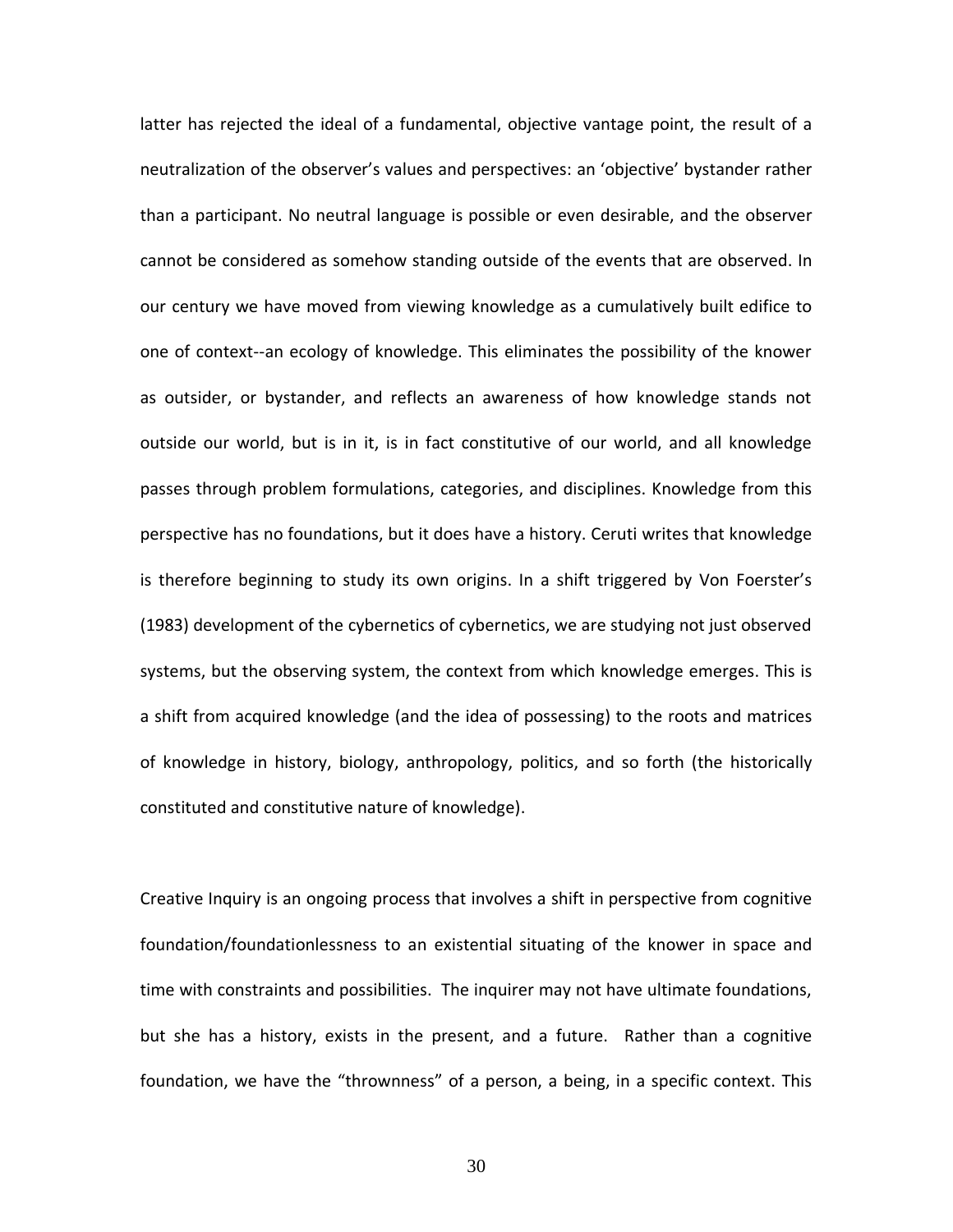latter has rejected the ideal of a fundamental, objective vantage point, the result of a neutralization of the observer's values and perspectives: an 'objective' bystander rather than a participant. No neutral language is possible or even desirable, and the observer cannot be considered as somehow standing outside of the events that are observed. In our century we have moved from viewing knowledge as a cumulatively built edifice to one of context--an ecology of knowledge. This eliminates the possibility of the knower as outsider, or bystander, and reflects an awareness of how knowledge stands not outside our world, but is in it, is in fact constitutive of our world, and all knowledge passes through problem formulations, categories, and disciplines. Knowledge from this perspective has no foundations, but it does have a history. Ceruti writes that knowledge is therefore beginning to study its own origins. In a shift triggered by Von Foerster's (1983) development of the cybernetics of cybernetics, we are studying not just observed systems, but the observing system, the context from which knowledge emerges. This is a shift from acquired knowledge (and the idea of possessing) to the roots and matrices of knowledge in history, biology, anthropology, politics, and so forth (the historically constituted and constitutive nature of knowledge).

Creative Inquiry is an ongoing process that involves a shift in perspective from cognitive foundation/foundationlessness to an existential situating of the knower in space and time with constraints and possibilities. The inquirer may not have ultimate foundations, but she has a history, exists in the present, and a future. Rather than a cognitive foundation, we have the "thrownness" of a person, a being, in a specific context. This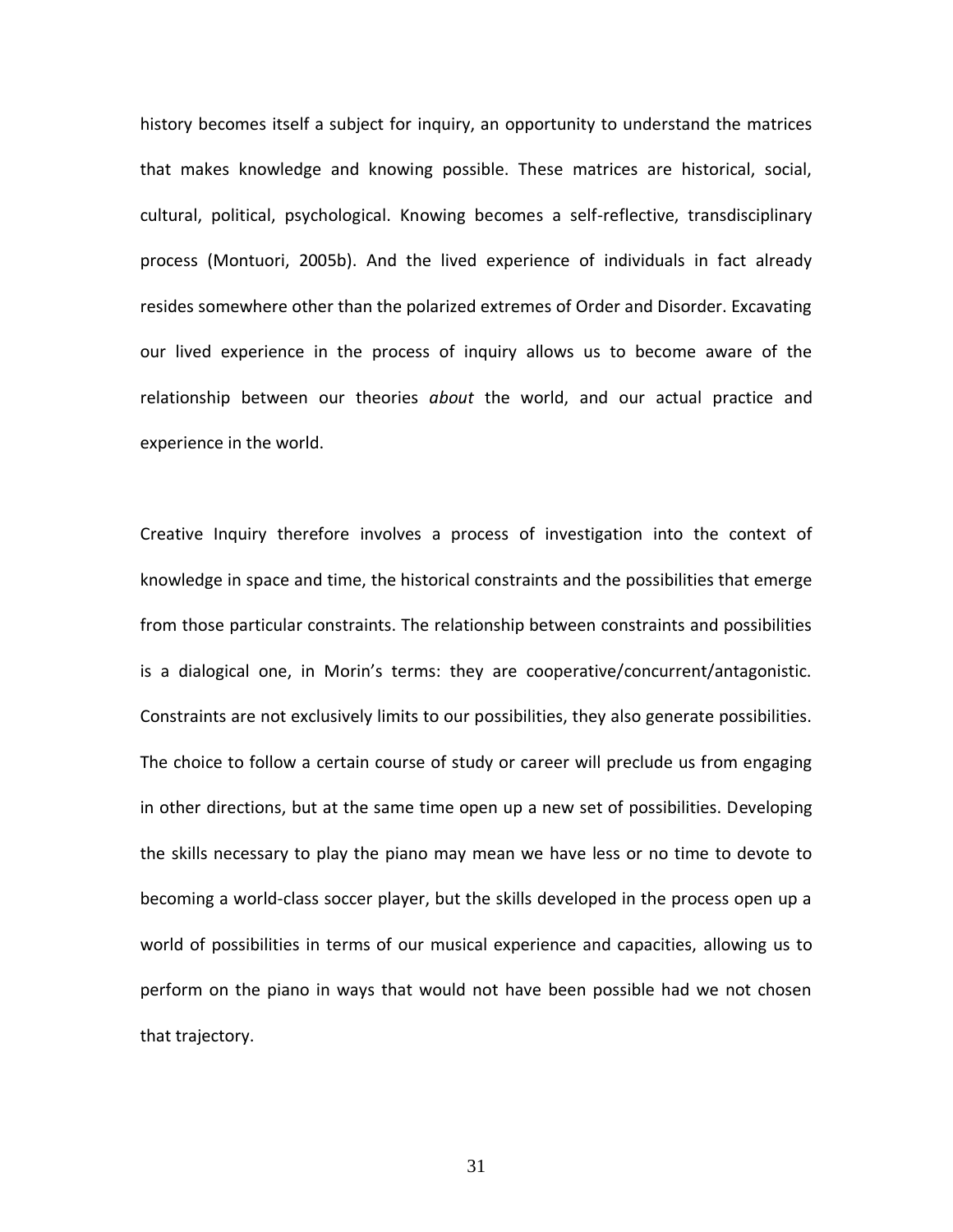history becomes itself a subject for inquiry, an opportunity to understand the matrices that makes knowledge and knowing possible. These matrices are historical, social, cultural, political, psychological. Knowing becomes a self-reflective, transdisciplinary process (Montuori, 2005b). And the lived experience of individuals in fact already resides somewhere other than the polarized extremes of Order and Disorder. Excavating our lived experience in the process of inquiry allows us to become aware of the relationship between our theories *about* the world, and our actual practice and experience in the world.

Creative Inquiry therefore involves a process of investigation into the context of knowledge in space and time, the historical constraints and the possibilities that emerge from those particular constraints. The relationship between constraints and possibilities is a dialogical one, in Morin's terms: they are cooperative/concurrent/antagonistic. Constraints are not exclusively limits to our possibilities, they also generate possibilities. The choice to follow a certain course of study or career will preclude us from engaging in other directions, but at the same time open up a new set of possibilities. Developing the skills necessary to play the piano may mean we have less or no time to devote to becoming a world-class soccer player, but the skills developed in the process open up a world of possibilities in terms of our musical experience and capacities, allowing us to perform on the piano in ways that would not have been possible had we not chosen that trajectory.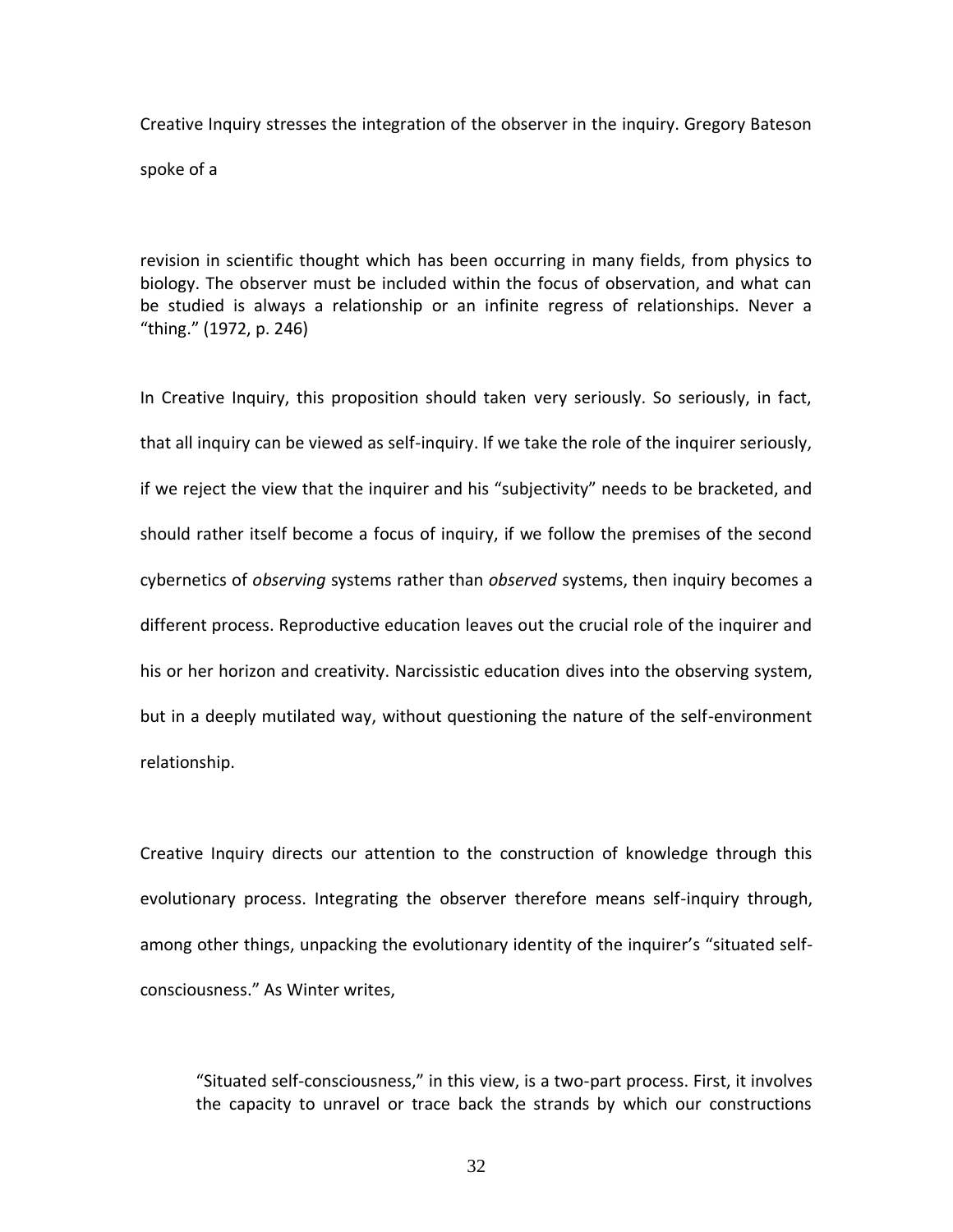Creative Inquiry stresses the integration of the observer in the inquiry. Gregory Bateson spoke of a

revision in scientific thought which has been occurring in many fields, from physics to biology. The observer must be included within the focus of observation, and what can be studied is always a relationship or an infinite regress of relationships. Never a "thing." (1972, p. 246)

In Creative Inquiry, this proposition should taken very seriously. So seriously, in fact, that all inquiry can be viewed as self-inquiry. If we take the role of the inquirer seriously, if we reject the view that the inquirer and his "subjectivity" needs to be bracketed, and should rather itself become a focus of inquiry, if we follow the premises of the second cybernetics of *observing* systems rather than *observed* systems, then inquiry becomes a different process. Reproductive education leaves out the crucial role of the inquirer and his or her horizon and creativity. Narcissistic education dives into the observing system, but in a deeply mutilated way, without questioning the nature of the self-environment relationship.

Creative Inquiry directs our attention to the construction of knowledge through this evolutionary process. Integrating the observer therefore means self-inquiry through, among other things, unpacking the evolutionary identity of the inquirer's "situated selfconsciousness." As Winter writes,

"Situated self-consciousness," in this view, is a two-part process. First, it involves the capacity to unravel or trace back the strands by which our constructions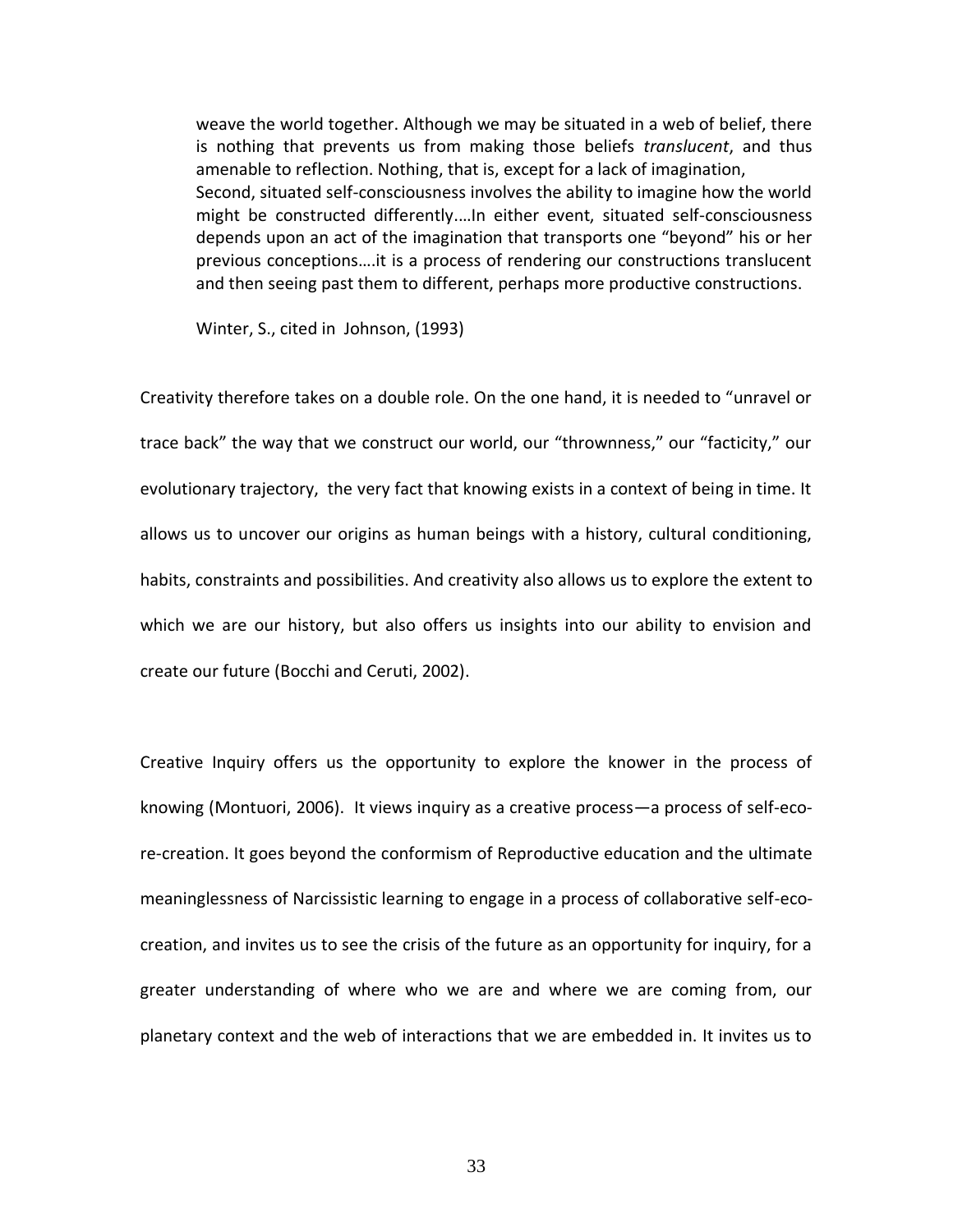weave the world together. Although we may be situated in a web of belief, there is nothing that prevents us from making those beliefs *translucent*, and thus amenable to reflection. Nothing, that is, except for a lack of imagination, Second, situated self-consciousness involves the ability to imagine how the world might be constructed differently.…In either event, situated self-consciousness depends upon an act of the imagination that transports one "beyond" his or her previous conceptions….it is a process of rendering our constructions translucent and then seeing past them to different, perhaps more productive constructions.

Winter, S., cited in Johnson, (1993)

Creativity therefore takes on a double role. On the one hand, it is needed to "unravel or trace back" the way that we construct our world, our "thrownness," our "facticity," our evolutionary trajectory, the very fact that knowing exists in a context of being in time. It allows us to uncover our origins as human beings with a history, cultural conditioning, habits, constraints and possibilities. And creativity also allows us to explore the extent to which we are our history, but also offers us insights into our ability to envision and create our future (Bocchi and Ceruti, 2002).

Creative Inquiry offers us the opportunity to explore the knower in the process of knowing (Montuori, 2006). It views inquiry as a creative process—a process of self-ecore-creation. It goes beyond the conformism of Reproductive education and the ultimate meaninglessness of Narcissistic learning to engage in a process of collaborative self-ecocreation, and invites us to see the crisis of the future as an opportunity for inquiry, for a greater understanding of where who we are and where we are coming from, our planetary context and the web of interactions that we are embedded in. It invites us to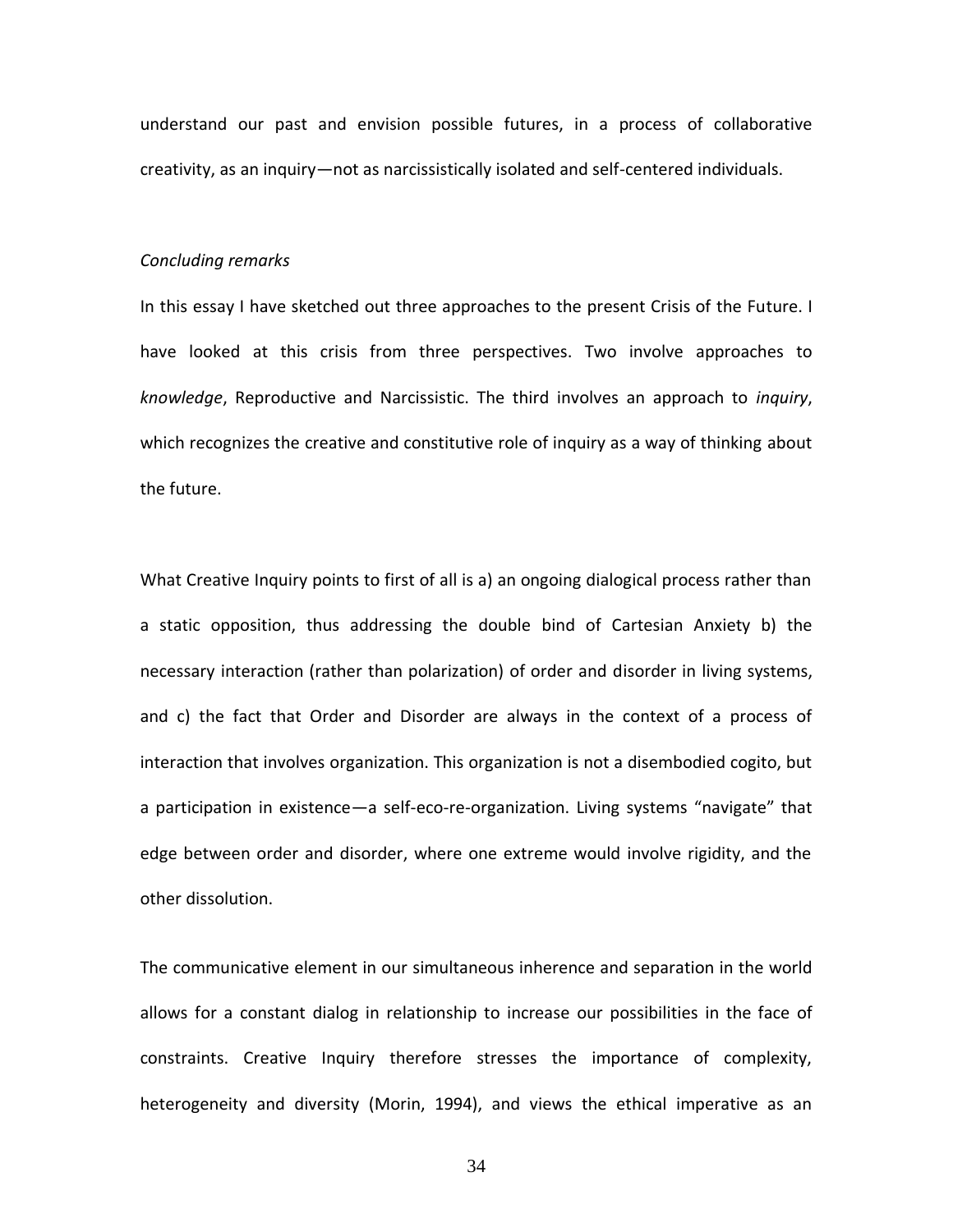understand our past and envision possible futures, in a process of collaborative creativity, as an inquiry—not as narcissistically isolated and self-centered individuals.

## *Concluding remarks*

In this essay I have sketched out three approaches to the present Crisis of the Future. I have looked at this crisis from three perspectives. Two involve approaches to *knowledge*, Reproductive and Narcissistic. The third involves an approach to *inquiry*, which recognizes the creative and constitutive role of inquiry as a way of thinking about the future.

What Creative Inquiry points to first of all is a) an ongoing dialogical process rather than a static opposition, thus addressing the double bind of Cartesian Anxiety b) the necessary interaction (rather than polarization) of order and disorder in living systems, and c) the fact that Order and Disorder are always in the context of a process of interaction that involves organization. This organization is not a disembodied cogito, but a participation in existence—a self-eco-re-organization. Living systems "navigate" that edge between order and disorder, where one extreme would involve rigidity, and the other dissolution.

The communicative element in our simultaneous inherence and separation in the world allows for a constant dialog in relationship to increase our possibilities in the face of constraints. Creative Inquiry therefore stresses the importance of complexity, heterogeneity and diversity (Morin, 1994), and views the ethical imperative as an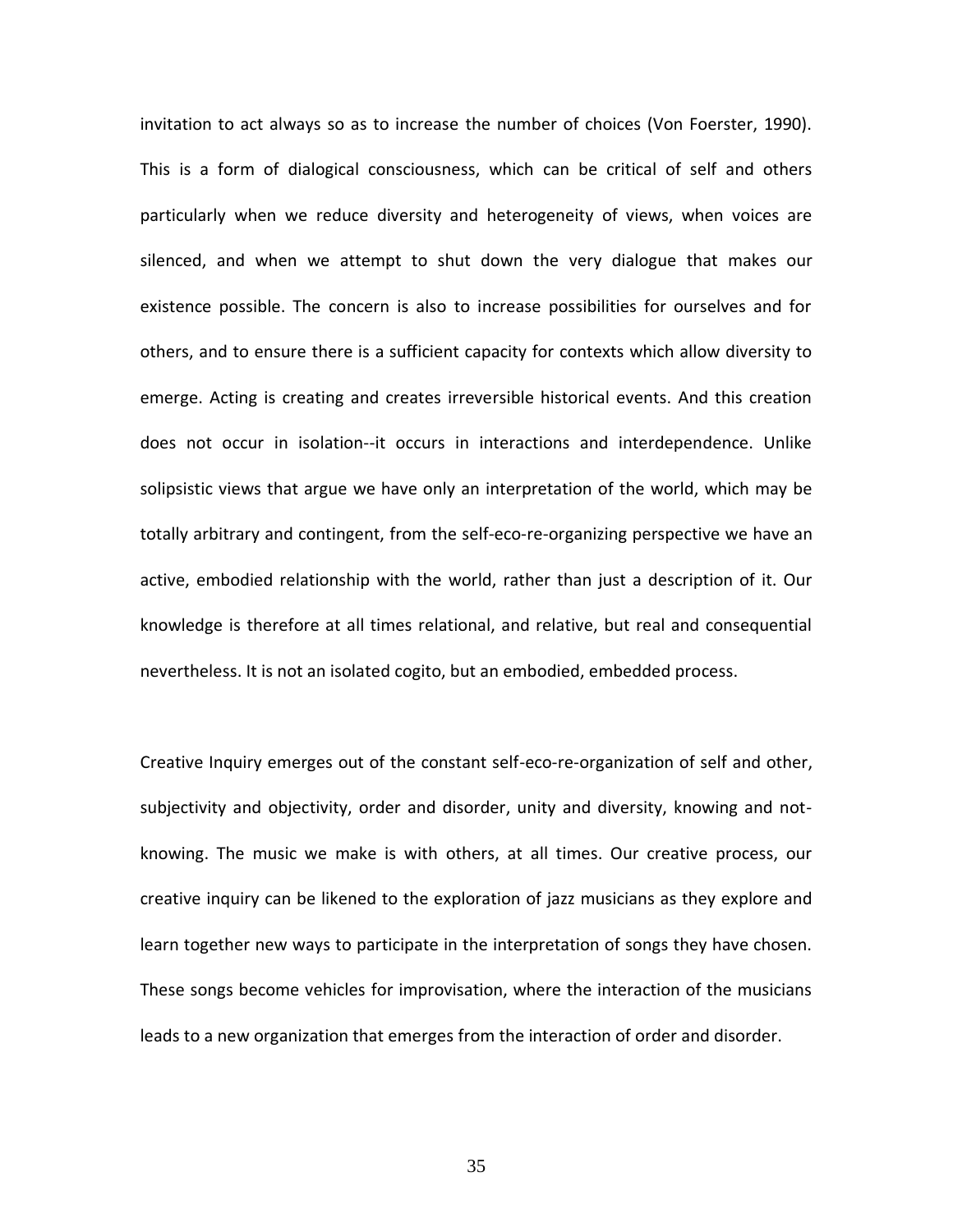invitation to act always so as to increase the number of choices (Von Foerster, 1990). This is a form of dialogical consciousness, which can be critical of self and others particularly when we reduce diversity and heterogeneity of views, when voices are silenced, and when we attempt to shut down the very dialogue that makes our existence possible. The concern is also to increase possibilities for ourselves and for others, and to ensure there is a sufficient capacity for contexts which allow diversity to emerge. Acting is creating and creates irreversible historical events. And this creation does not occur in isolation--it occurs in interactions and interdependence. Unlike solipsistic views that argue we have only an interpretation of the world, which may be totally arbitrary and contingent, from the self-eco-re-organizing perspective we have an active, embodied relationship with the world, rather than just a description of it. Our knowledge is therefore at all times relational, and relative, but real and consequential nevertheless. It is not an isolated cogito, but an embodied, embedded process.

Creative Inquiry emerges out of the constant self-eco-re-organization of self and other, subjectivity and objectivity, order and disorder, unity and diversity, knowing and notknowing. The music we make is with others, at all times. Our creative process, our creative inquiry can be likened to the exploration of jazz musicians as they explore and learn together new ways to participate in the interpretation of songs they have chosen. These songs become vehicles for improvisation, where the interaction of the musicians leads to a new organization that emerges from the interaction of order and disorder.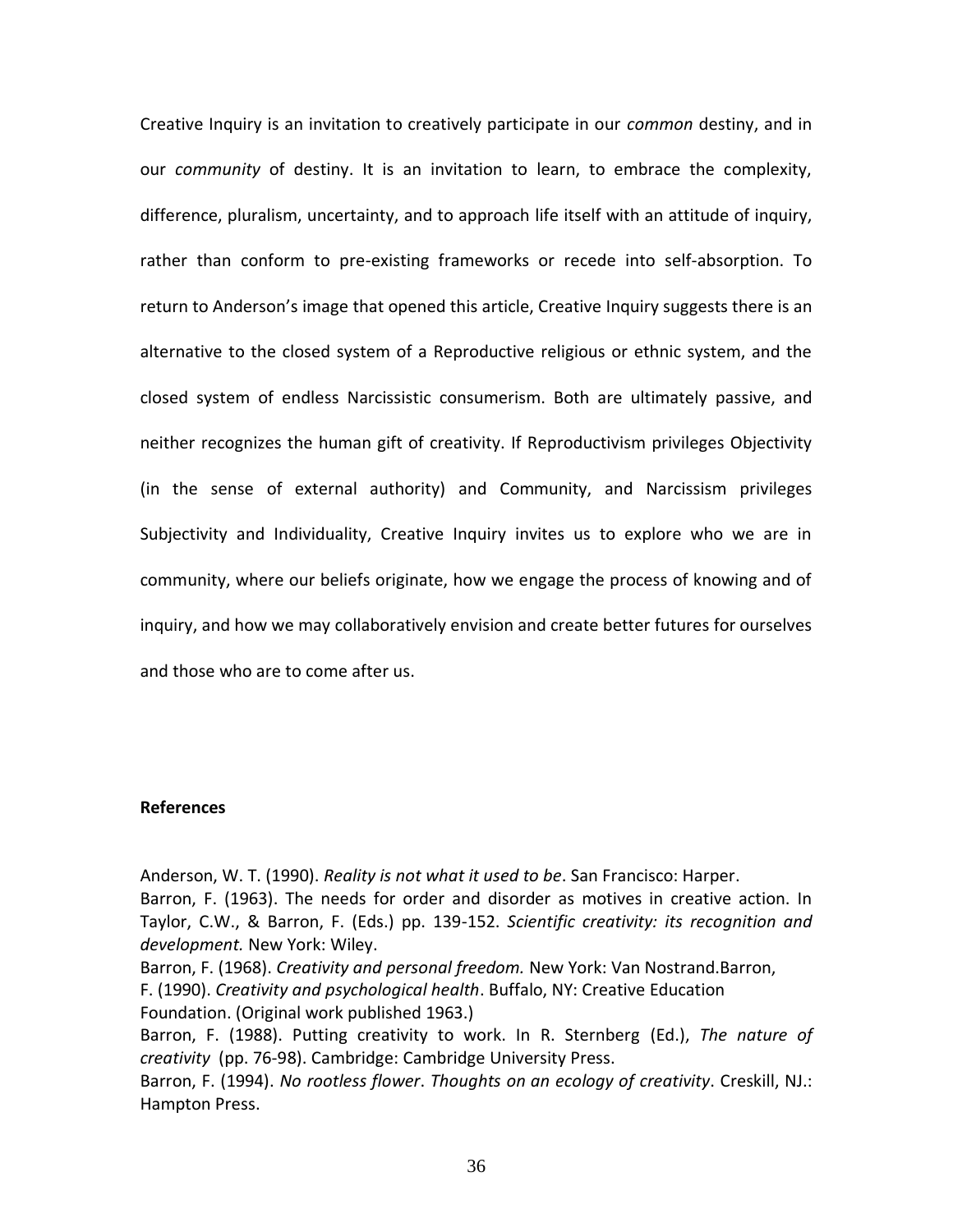Creative Inquiry is an invitation to creatively participate in our *common* destiny, and in our *community* of destiny. It is an invitation to learn, to embrace the complexity, difference, pluralism, uncertainty, and to approach life itself with an attitude of inquiry, rather than conform to pre-existing frameworks or recede into self-absorption. To return to Anderson's image that opened this article, Creative Inquiry suggests there is an alternative to the closed system of a Reproductive religious or ethnic system, and the closed system of endless Narcissistic consumerism. Both are ultimately passive, and neither recognizes the human gift of creativity. If Reproductivism privileges Objectivity (in the sense of external authority) and Community, and Narcissism privileges Subjectivity and Individuality, Creative Inquiry invites us to explore who we are in community, where our beliefs originate, how we engage the process of knowing and of inquiry, and how we may collaboratively envision and create better futures for ourselves and those who are to come after us.

## **References**

Anderson, W. T. (1990). *Reality is not what it used to be*. San Francisco: Harper. Barron, F. (1963). The needs for order and disorder as motives in creative action. In Taylor, C.W., & Barron, F. (Eds.) pp. 139-152. *Scientific creativity: its recognition and development.* New York: Wiley.

Barron, F. (1968). *Creativity and personal freedom.* New York: Van Nostrand.Barron,

F. (1990). *Creativity and psychological health*. Buffalo, NY: Creative Education Foundation. (Original work published 1963.)

Barron, F. (1988). Putting creativity to work. In R. Sternberg (Ed.), *The nature of creativity* (pp. 76-98). Cambridge: Cambridge University Press.

Barron, F. (1994). *No rootless flower*. *Thoughts on an ecology of creativity*. Creskill, NJ.: Hampton Press.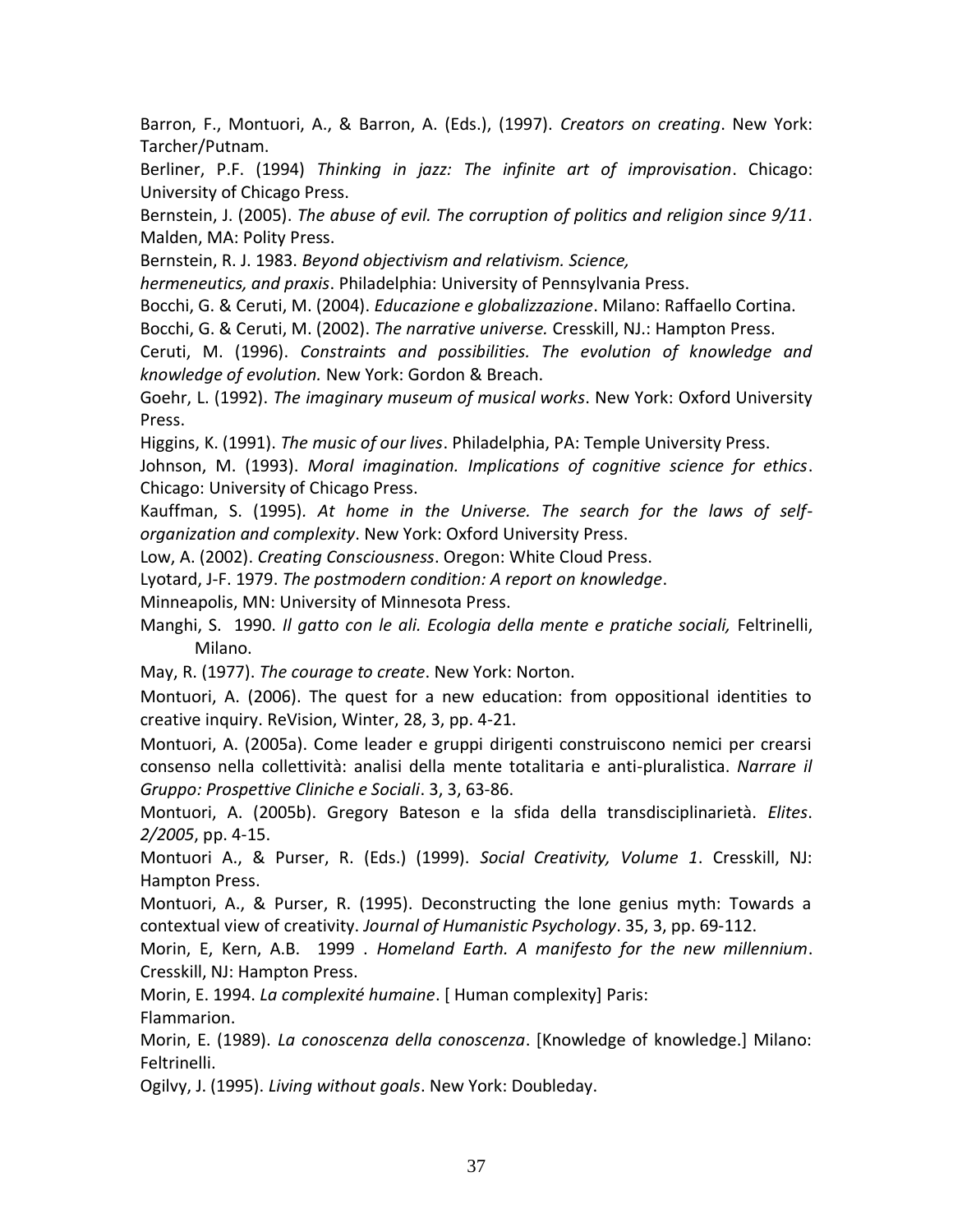Barron, F., Montuori, A., & Barron, A. (Eds.), (1997). *Creators on creating*. New York: Tarcher/Putnam.

Berliner, P.F. (1994) *Thinking in jazz: The infinite art of improvisation*. Chicago: University of Chicago Press.

Bernstein, J. (2005). *The abuse of evil. The corruption of politics and religion since 9/11*. Malden, MA: Polity Press.

Bernstein, R. J. 1983. *Beyond objectivism and relativism. Science,*

*hermeneutics, and praxis*. Philadelphia: University of Pennsylvania Press.

Bocchi, G. & Ceruti, M. (2004). *Educazione e globalizzazione*. Milano: Raffaello Cortina.

Bocchi, G. & Ceruti, M. (2002). *The narrative universe.* Cresskill, NJ.: Hampton Press.

Ceruti, M. (1996). *Constraints and possibilities. The evolution of knowledge and knowledge of evolution.* New York: Gordon & Breach.

Goehr, L. (1992). *The imaginary museum of musical works*. New York: Oxford University Press.

Higgins, K. (1991). *The music of our lives*. Philadelphia, PA: Temple University Press.

Johnson, M. (1993). *Moral imagination. Implications of cognitive science for ethics*. Chicago: University of Chicago Press.

Kauffman, S. (1995)*. At home in the Universe. The search for the laws of selforganization and complexity*. New York: Oxford University Press.

Low, A. (2002). *Creating Consciousness*. Oregon: White Cloud Press.

Lyotard, J-F. 1979. *The postmodern condition: A report on knowledge*.

Minneapolis, MN: University of Minnesota Press.

Manghi, S. 1990. *Il gatto con le ali. Ecologia della mente e pratiche sociali,* Feltrinelli, Milano.

May, R. (1977). *The courage to create*. New York: Norton.

Montuori, A. (2006). The quest for a new education: from oppositional identities to creative inquiry. ReVision, Winter, 28, 3, pp. 4-21.

Montuori, A. (2005a). Come leader e gruppi dirigenti construiscono nemici per crearsi consenso nella collettività: analisi della mente totalitaria e anti-pluralistica. *Narrare il Gruppo: Prospettive Cliniche e Sociali*. 3, 3, 63-86.

Montuori, A. (2005b). Gregory Bateson e la sfida della transdisciplinarietà. *Elites*. *2/2005*, pp. 4-15.

Montuori A., & Purser, R. (Eds.) (1999). *Social Creativity, Volume 1*. Cresskill, NJ: Hampton Press.

Montuori, A., & Purser, R. (1995). Deconstructing the lone genius myth: Towards a contextual view of creativity. *Journal of Humanistic Psychology*. 35, 3, pp. 69-112.

Morin, E, Kern, A.B. 1999 . *Homeland Earth. A manifesto for the new millennium*. Cresskill, NJ: Hampton Press.

Morin, E. 1994. *La complexité humaine*. [ Human complexity] Paris:

Flammarion.

Morin, E. (1989). *La conoscenza della conoscenza*. [Knowledge of knowledge.] Milano: Feltrinelli.

Ogilvy, J. (1995). *Living without goals*. New York: Doubleday.